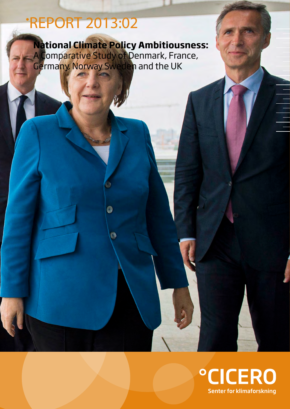# • REPORT 2013:02

**National Climate Policy Ambitiousness:**  A Comparative Study of Denmark, France, Germany, Norway Sweden and the UK

Ō

 $\Box$ 

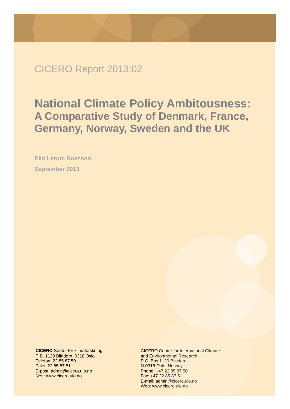### CICERO Report 2013:02

## **National Climate Policy Ambitousness: A Comparative Study of Denmark, France, Germany, Norway, Sweden and the UK**

**Elin Lerum Boasson September 2013**

**CICERO** Senter for klimaforskning P.B. 1129 Blindern, 0318 Oslo Telefon: 22 85 87 50 Faks: 22 85 87 51 E-post: admin@cicero.uio.no Nett: www.cicero.uio.no

CICERO Center for International Climate and Environmental Research P.O. Box 1129 Blindern N-0318 Oslo, Norway Phone: +47 22 85 87 50 Fax: +47 22 85 87 51 E-mail: admin@cicero.uio.no Web: www.cicero.uio.no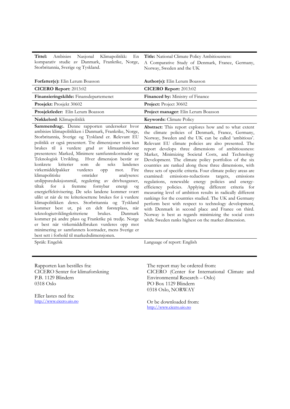**Tittel:** Ambisiøs Nasjonal Klimapolitikk: En komparativ studie av Danmark, Frankrike, Norge, Storbritannia, Sverige og Tyskland.

**Title:** National Climate Policy Ambitiousness: A Comparative Study of Denmark, France, Germany, Norway, Sweden and the UK

| Forfatter(e): Elin Lerum Boasson         | <b>Author(s):</b> Elin Lerum Boasson    |
|------------------------------------------|-----------------------------------------|
| CICERO Report: 2013:02                   | CICERO Report: $2013:02$                |
| Finansieringskilde: Finansdepartemenet   | <b>Financed by:</b> Ministry of Finance |
| <b>Prosjekt:</b> Prosjekt 30602          | <b>Project:</b> Project 30602           |
| <b>Prosjektleder:</b> Elin Lerum Boasson | Project manager: Elin Lerum Boasson     |
| <b>Nøkkelord:</b> Klimapolitikk          | <b>Keywords:</b> Climate Policy         |

**Sammendrag:.** Denne rapporten undersøker hvor ambisiøs klimapolitikken i Danmark, Frankrike, Norge, Storbritannia, Sverige og Tyskland er. Relevant EU politikk er også presentert. Tre dimensjoner som kan brukes til å vurdere grad av klimaambisjoner presenteres: Marked, Minimere samfunnskostnader og Teknologisk Utvikling. Hver dimensjon består av konkrete kriterier som de seks landenes<br>virkemiddelpakker vurderes opp mot. Fire virkemiddelpakker vurderes opp klimapolitiske områder analyseres: utslippsreduksjonsmål, regulering av drivhusgasser, tiltak for å fremme fornybar energi og energieffektivisering. De seks landene kommer svært ulikt ut når de tre kriteriesettene brukes for å vurdere klimapolitikken deres. Storbritannia og Tyskland kommer best ut, på en delt førsteplass, når teknologiutviklingskriteriene brukes. Danmark kommer på andre plass og Frankrike på tredje. Norge er best når virkemiddelbruken vurderes opp mot minimering av samfunnets kostnader, mens Sverige er best sett i forhold til markedsdimensjonen.

**Abstract:** This report explores how and to what extent the climate policies of Denmark, France, Germany, Norway, Sweden and the UK can be called 'ambitious'. Relevant EU climate policies are also presented. The report develops three dimensions of ambitiousness: Market, Minimizing Societal Costs, and Technology Development. The climate policy portfolios of the six countries are ranked along these three dimensions, with three sets of specific criteria. Four climate policy areas are examined: emissions-reductions targets, emissions regulations, renewable energy policies and energyefficiency policies. Applying different criteria for measuring level of ambition results in radically different rankings for the countries studied. The UK and Germany perform best with respect to technology development, with Denmark in second place and France on third. Norway is best as regards minimizing the social costs while Sweden ranks highest on the market dimension.

Språk: Engelsk Language of report: English

Rapporten kan bestilles fra: CICERO Senter for klimaforskning P.B. 1129 Blindern 0318 Oslo

Eller lastes ned fra: [http://www.cicero.uio.no](http://www.cicero.uio.no/) The report may be ordered from: CICERO (Center for International Climate and Environmental Research – Oslo) PO Box 1129 Blindern 0318 Oslo, NORWAY

Or be downloaded from: [http://www.cicero.uio.no](http://www.cicero.uio.no/)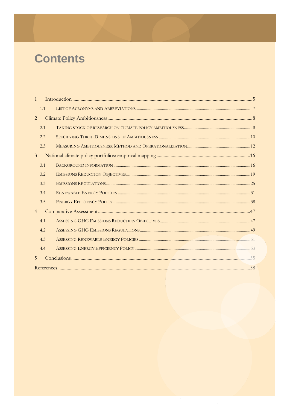# **Contents**

| $\overline{1}$ |      |  |
|----------------|------|--|
|                | 1.1  |  |
| 2              |      |  |
|                | 2.1  |  |
|                | 2.2. |  |
|                | 2.3  |  |
| $\mathfrak{Z}$ |      |  |
|                | 3.1  |  |
|                | 3.2  |  |
|                | 3.3  |  |
|                | 3.4  |  |
|                | 3.5  |  |
| $\overline{4}$ |      |  |
|                | 4.1  |  |
|                | 4.2. |  |
|                | 4.3  |  |
|                | 4.4  |  |
| 5              |      |  |
|                |      |  |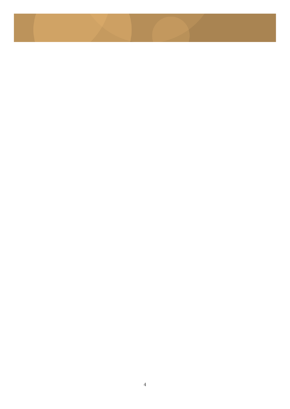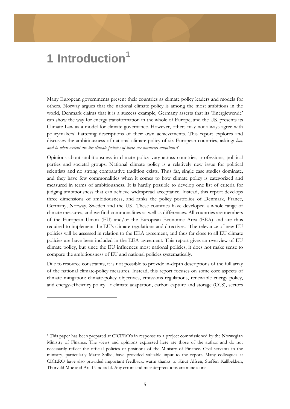# <span id="page-5-0"></span>**1 Introduction[1](#page-5-1)**

-

Many European governments present their countries as climate policy leaders and models for others. Norway argues that the national climate policy is among the most ambitious in the world, Denmark claims that it is a success example, Germany asserts that its 'Energiewende' can show the way for energy transformation in the whole of Europe, and the UK presents its Climate Law as a model for climate governance. However, others may not always agree with policymakers' flattering descriptions of their own achievements. This report explores and discusses the ambitiousness of national climate policy of six European countries, asking: *how and to what extent are the climate policies of these six countries ambitious?* 

Opinions about ambitiousness in climate policy vary across countries, professions, political parties and societal groups. National climate policy is a relatively new issue for political scientists and no strong comparative tradition exists. Thus far, single case studies dominate, and they have few commonalities when it comes to how climate policy is categorized and measured in terms of ambitiousness. It is hardly possible to develop one list of criteria for judging ambitiousness that can achieve widespread acceptance. Instead, this report develops three dimensions of ambitiousness, and ranks the policy portfolios of Denmark, France, Germany, Norway, Sweden and the UK. These countries have developed a whole range of climate measures, and we find commonalities as well as differences. All countries are members of the European Union (EU) and/or the European Economic Area (EEA) and are thus required to implement the EU's climate regulations and directives. The relevance of new EU policies will be assessed in relation to the EEA agreement, and thus far close to all EU climate policies are have been included in the EEA agreement. This report gives an overview of EU climate policy, but since the EU influences most national policies, it does not make sense to compare the ambitiousness of EU and national policies systematically.

Due to resource constraints, it is not possible to provide in-depth descriptions of the full array of the national climate-policy measures. Instead, this report focuses on some core aspects of climate mitigation: climate-policy objectives, emissions regulations, renewable energy policy, and energy-efficiency policy. If climate adaptation, carbon capture and storage (CCS), sectors

<span id="page-5-1"></span><sup>1</sup> This paper has been prepared at CICERO's in response to a project commissioned by the Norwegian Ministry of Finance. The views and opinions expressed here are those of the author and do not necessarily reflect the official policies or positions of the Ministry of Finance. Civil servants in the ministry, particularly Marte Sollie, have provided valuable input to the report. Many colleagues at CICERO have also provided important feedback: warm thanks to Knut Alfsen, Steffen Kallbekken, Thorvald Moe and Arild Underdal. Any errors and misinterpretations are mine alone.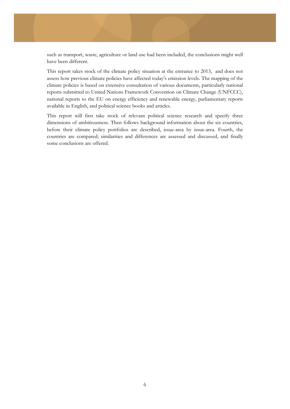such as transport, waste, agriculture or land use had been included, the conclusions might well have been different.

This report takes stock of the climate policy situation at the entrance to 2013, and does not assess how previous climate policies have affected today's emission levels. The mapping of the climate policies is based on extensive consultation of various documents, particularly national reports submitted to United Nations Framework Convention on Climate Change (UNFCCC), national reports to the EU on energy efficiency and renewable energy, parliamentary reports available in English, and political science books and articles.

This report will first take stock of relevant political science research and specify three dimensions of ambitiousness. Then follows background information about the six countries, before their climate policy portfolios are described, issue-area by issue-area. Fourth, the countries are compared; similarities and differences are assessed and discussed, and finally some conclusions are offered.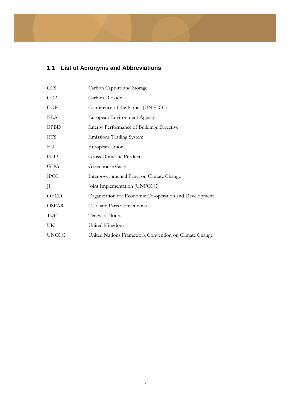#### <span id="page-7-0"></span>**1.1 List of Acronyms and Abbreviations**

| CCS             | Carbon Capture and Storage                             |
|-----------------|--------------------------------------------------------|
| CO <sub>2</sub> | Carbon Dioxide                                         |
| COP             | Conference of the Parties (UNFCCC)                     |
| EEA             | European Environment Agency                            |
| <b>EPBD</b>     | Energy Performance of Buildings Directive              |
| <b>ETS</b>      | <b>Emissions Trading System</b>                        |
| EU              | European Union                                         |
| GDP             | <b>Gross Domestic Product</b>                          |
| <b>GHG</b>      | Greenhouse Gases                                       |
| <b>IPCC</b>     | Intergovernmental Panel on Climate Change              |
| JI              | Joint Implementation (UNFCCC)                          |
| <b>OECD</b>     | Organization for Economic Co-operation and Development |
| <b>OSPAR</b>    | Oslo and Paris Conventions                             |
| TwH             | <b>Terawatt Hours</b>                                  |
| UK.             | United Kingdom                                         |
| <b>UNCCC</b>    | United Nations Framework Convention on Climate Change  |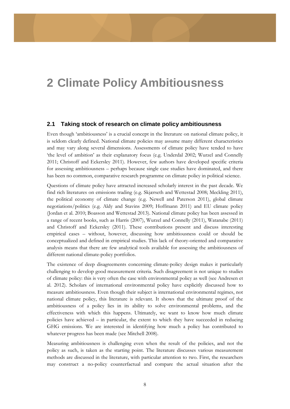## <span id="page-8-0"></span>**2 Climate Policy Ambitiousness**

#### <span id="page-8-1"></span>**2.1 Taking stock of research on climate policy ambitiousness**

Even though 'ambitiousness' is a crucial concept in the literature on national climate policy, it is seldom clearly defined. National climate policies may assume many different characteristics and may vary along several dimensions. Assessments of climate policy have tended to have 'the level of ambition' as their explanatory focus (e.g. Underdal 2002; Wurzel and Connelly 2011; Christoff and Eckersley 2011). However, few authors have developed specific criteria for assessing ambitiousness – perhaps because single case studies have dominated, and there has been no common, comparative research programme on climate policy in political science.

Questions of climate policy have attracted increased scholarly interest in the past decade. We find rich literatures on emissions trading (e.g. Skjærseth and Wettestad 2008; Meckling 2011), the political economy of climate change (e.g. Newell and Paterson 2011), global climate negotiations/politics (e.g. Aldy and Stavins 2009; Hoffmann 2011) and EU climate policy (Jordan et al. 2010; Boasson and Wettestad 2013). National climate policy has been assessed in a range of recent books, such as Harris (2007), Wurzel and Connelly (2011), Watanabe (2011) and Christoff and Eckersley (2011). These contributions present and discuss interesting empirical cases – without, however, discussing how ambitiousness could or should be conceptualized and defined in empirical studies. This lack of theory-oriented and comparative analysis means that there are few analytical tools available for assessing the ambitiousness of different national climate-policy portfolios.

The existence of deep disagreements concerning climate-policy design makes it particularly challenging to develop good measurement criteria. Such disagreement is not unique to studies of climate policy: this is very often the case with environmental policy as well (see Andresen et al. 2012). Scholars of international environmental policy have explicitly discussed how to measure ambitiousness. Even though their subject is international environmental regimes, not national climate policy, this literature is relevant. It shows that the ultimate proof of the ambitiousness of a policy lies in its ability to solve environmental problems, and the effectiveness with which this happens. Ultimately, we want to know how much climate policies have achieved – in particular, the extent to which they have succeeded in reducing GHG emissions. We are interested in identifying how much a policy has contributed to whatever progress has been made (see Mitchell 2008).

Measuring ambitiousness is challenging even when the result of the policies, and not the policy as such, is taken as the starting point. The literature discusses various measurement methods are discussed in the literature, with particular attention to two. First, the researchers may construct a no-policy counterfactual and compare the actual situation after the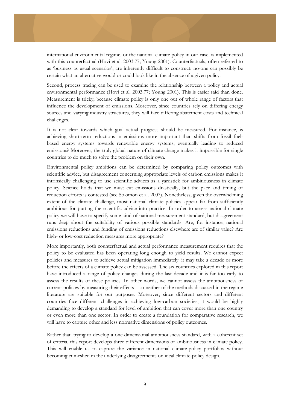international environmental regime, or the national climate policy in our case, is implemented with this counterfactual (Hovi et al. 2003:77; Young 2001). Counterfactuals, often referred to as 'business as usual scenarios', are inherently difficult to construct: no-one can possibly be certain what an alternative would or could look like in the absence of a given policy.

Second, process tracing can be used to examine the relationship between a policy and actual environmental performance (Hovi et al. 2003:77; Young 2001). This is easier said than done. Measurement is tricky, because climate policy is only one out of whole range of factors that influence the development of emissions. Moreover, since countries rely on differing energy sources and varying industry structures, they will face differing abatement costs and technical challenges.

It is not clear towards which goal actual progress should be measured. For instance, is achieving short-term reductions in emissions more important than shifts from fossil fuelbased energy systems towards renewable energy systems, eventually leading to reduced emissions? Moreover, the truly global nature of climate change makes it impossible for single countries to do much to solve the problem on their own.

Environmental policy ambitions can be determined by comparing policy outcomes with scientific advice, but disagreement concerning appropriate levels of carbon emissions makes it intrinsically challenging to use scientific advices as a yardstick for ambitiousness in climate policy. Science holds that we must cut emissions drastically, but the pace and timing of reduction efforts is contested (see Solomon et al. 2007). Nonetheless, given the overwhelming extent of the climate challenge, most national climate policies appear far from sufficiently ambitious for putting the scientific advice into practice. In order to assess national climate policy we will have to specify some kind of national measurement standard, but disagreement runs deep about the suitability of various possible standards. Are, for instance, national emissions reductions and funding of emissions reductions elsewhere are of similar value? Are high- or low-cost reduction measures more appropriate?

More importantly, both counterfactual and actual performance measurement requires that the policy to be evaluated has been operating long enough to yield results. We cannot expect policies and measures to achieve actual mitigation immediately: it may take a decade or more before the effects of a climate policy can be assessed. The six countries explored in this report have introduced a range of policy changes during the last decade and it is far too early to assess the results of these policies. In other words, we cannot assess the ambitiousness of current policies by measuring their effects – so neither of the methods discussed in the regime literature are suitable for our purposes. Moreover, since different sectors and different countries face different challenges in achieving low-carbon societies, it would be highly demanding to develop a standard for level of ambition that can cover more than one country or even more than one sector. In order to create a foundation for comparative research, we will have to capture other and less normative dimensions of policy outcomes.

Rather than trying to develop a one-dimensional ambitiousness standard, with a coherent set of criteria, this report develops three different dimensions of ambitiousness in climate policy. This will enable us to capture the variance in national climate-policy portfolios without becoming enmeshed in the underlying disagreements on ideal climate-policy design.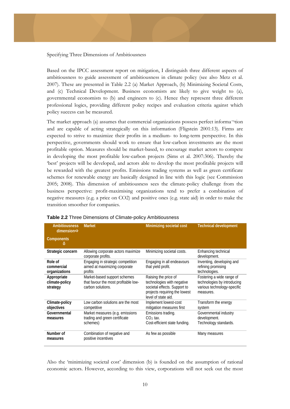<span id="page-10-0"></span>Specifying Three Dimensions of Ambitiousness

Based on the IPCC assessment report on mitigation, I distinguish three different aspects of ambitiousness to guide assessment of ambitiousness in climate policy (see also Metz et al. 2007). These are presented in Table 2.2 (a) Market Approach, (b) Minimizing Societal Costs, and (c) Technical Development. Business economists are likely to give weight to (a), governmental economists to (b) and engineers to (c). Hence they represent three different professional logics, providing different policy recipes and evaluation criteria against which policy success can be measured.

The market approach (a) assumes that commercial organizations possess perfect informa $\neg$ tion and are capable of acting strategically on this information (Fligstein 2001:13). Firms are expected to strive to maximize their profits in a medium- to long-term perspective. In this perspective, governments should work to ensure that low-carbon investments are the most profitable option. Measures should be market-based, to encourage market actors to compete in developing the most profitable low-carbon projects (Sims et al. 2007:306). Thereby the 'best' projects will be developed, and actors able to develop the most profitable projects will be rewarded with the greatest profits. Emissions trading systems as well as green certificate schemes for renewable energy are basically designed in line with this logic (see Commission 2005; 2008). This dimension of ambitiousness sees the climate-policy challenge from the business perspective: profit-maximising organizations tend to prefer a combination of negative measures (e.g. a price on CO2) and positive ones (e.g. state aid) in order to make the transition smoother for companies.

| <b>Ambitiousness</b><br>dimension $\Rightarrow$                             | <b>Market</b>                                                                             | Minimizing societal cost                                                                                                                   | <b>Technical development</b>                                                                         |
|-----------------------------------------------------------------------------|-------------------------------------------------------------------------------------------|--------------------------------------------------------------------------------------------------------------------------------------------|------------------------------------------------------------------------------------------------------|
| <b>Components</b><br>⇩                                                      |                                                                                           |                                                                                                                                            |                                                                                                      |
| Strategic concern                                                           | Allowing corporate actors maximize<br>corporate profits.                                  | Minimizing societal costs.                                                                                                                 | Enhancing technical<br>development.                                                                  |
| Role of<br>commercial<br>organizations                                      | Engaging in strategic competition<br>aimed at maximizing corporate<br>profits             | Engaging in all endeavours<br>that yield profit.                                                                                           | Inventing, developing and<br>refining promising<br>technologies.                                     |
| Appropriate<br>climate-policy<br>strategy                                   | Market-based support schemes<br>that favour the most profitable low-<br>carbon solutions. | Raising the price of<br>technologies with negative<br>societal effects. Support to<br>projects requiring the lowest<br>level of state aid. | Fostering a wide range of<br>technologies by introducing<br>various technology-specific<br>measures. |
| Climate-policy<br>objectives                                                | Low carbon solutions are the most<br>competitive                                          | Implement lowest-cost<br>mitigation measures first                                                                                         | Transform the energy<br>system                                                                       |
| Governmental<br>measures                                                    | Market measures (e.g. emissions<br>trading and green certificate<br>schemes)              | Emissions trading.<br>$CO2$ tax.<br>Cost-efficient state funding.                                                                          | Governmental industry<br>development.<br>Technology standards.                                       |
| Number of<br>Combination of negative and<br>positive incentives<br>measures |                                                                                           | As few as possible                                                                                                                         | Many measures                                                                                        |

#### **Table 2.2** Three Dimensions of Climate-policy Ambitiousness

Also the 'minimizing societal cost' dimension (b) is founded on the assumption of rational economic actors. However, according to this view, corporations will not seek out the most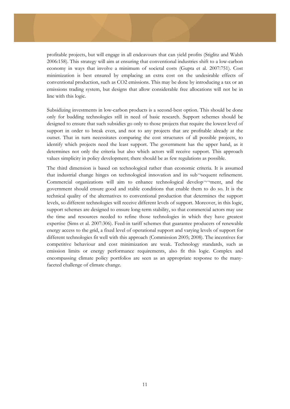profitable projects, but will engage in all endeavours that can yield profits (Stiglitz and Walsh 2006:158). This strategy will aim at ensuring that conventional industries shift to a low-carbon economy in ways that involve a minimum of societal costs (Gupta et al. 2007:751). Cost minimization is best ensured by emplacing an extra cost on the undesirable effects of conventional production, such as CO2 emissions. This may be done by introducing a tax or an emissions trading system, but designs that allow considerable free allocations will not be in line with this logic.

Subsidizing investments in low-carbon products is a second-best option. This should be done only for budding technologies still in need of basic research. Support schemes should be designed to ensure that such subsidies go only to those projects that require the lowest level of support in order to break even, and not to any projects that are profitable already at the outset. That in turn necessitates comparing the cost structures of all possible projects, to identify which projects need the least support. The government has the upper hand, as it determines not only the criteria but also which actors will receive support. This approach values simplicity in policy development; there should be as few regulations as possible.

The third dimension is based on technological rather than economic criteria. It is assumed that industrial change hinges on technological innovation and its sub¬sequent refinement. Commercial organizations will aim to enhance technological develop¬¬ment, and the government should ensure good and stable conditions that enable them to do so. It is the technical quality of the alternatives to conventional production that determines the support levels, so different technologies will receive different levels of support. Moreover, in this logic, support schemes are designed to ensure long-term stability, so that commercial actors may use the time and resources needed to refine those technologies in which they have greatest expertise (Sims et al. 2007:306). Feed-in tariff schemes that guarantee producers of renewable energy access to the grid, a fixed level of operational support and varying levels of support for different technologies fit well with this approach (Commission 2005; 2008). The incentives for competitive behaviour and cost minimization are weak. Technology standards, such as emission limits or energy performance requirements, also fit this logic. Complex and encompassing climate policy portfolios are seen as an appropriate response to the manyfaceted challenge of climate change.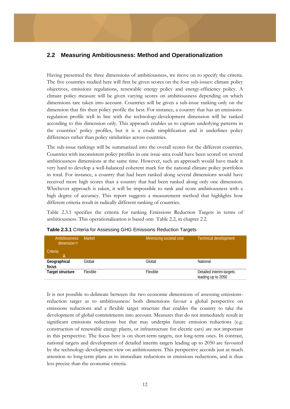#### <span id="page-12-0"></span>**2.2 Measuring Ambitiousness: Method and Operationalization**

Having presented the three dimensions of ambitiousness, we move on to specify the criteria. The five countries studied here will first be given scores on the four sub-issues: climate policy objectives, emissions regulations, renewable energy policy and energy-efficiency policy. A climate policy measure will be given varying scores on ambitiousness depending on which dimensions tare taken into account. Countries will be given a sub-issue ranking only on the dimension that fits their policy profile the best. For instance, a country that has an emissionsregulation profile well in line with the technology-development dimension will be ranked according to this dimension only. This approach enables us to capture underlying patterns in the countries' policy profiles, but it is a crude simplification and it underlines policy differences rather than policy similarities across countries.

The sub-issue rankings will be summarized into the overall scores for the different countries. Countries with inconsistent policy profiles in one issue-area could have been scored on several ambitiousness dimensions at the same time. However, such an approach would have made it very hard to develop a well-balanced coherent mark for the national climate policy portfolios in total. For instance, a country that had been ranked along several dimensions would have received more high scores than a country that had been ranked along only one dimension. Whichever approach is taken, it will be impossible to rank and score ambitiousness with a high degree of accuracy. This report suggests a measurement method that highlights how different criteria result in radically different ranking of countries.

Table 2.3.1 specifies the criteria for ranking Emissions Reduction Targets in terms of ambitiousness. This operationalization is based onn Table 2.2, in chapter 2.2.

| <b>Ambitiousness</b><br>dimension $\Rightarrow$ | <b>Market</b>   | Minimizing societal cost | Technical development                          |
|-------------------------------------------------|-----------------|--------------------------|------------------------------------------------|
| Criteria<br>J                                   |                 |                          |                                                |
| Geographical<br>focus                           | Global          | Global                   | National                                       |
| Target structure                                | <b>Flexible</b> | Flexible                 | Detailed interim-targets<br>leading up to 2050 |

| Table 2.3.1 Criteria for Assessing GHG Emissions Reduction Targets |  |  |  |  |  |  |
|--------------------------------------------------------------------|--|--|--|--|--|--|
|--------------------------------------------------------------------|--|--|--|--|--|--|

It is not possible to delineate between the two economic dimensions of assessing emissionsreduction target as to ambitiousness: both dimensions favour a global perspective on emissions reductions and a flexible target structure that enables the country to take the development of global commitments into account. Measures that do not immediately result in significant emissions reductions but that may underpin future emission reductions (e.g. construction of renewable energy plants, or infrastructure for electric cars) are not important in this perspective. The focus here is on short-term targets, not long-term ones. In contrast, national targets and development of detailed interim targets leading up to 2050 are favoured by the technology-development view on ambitiousness. This perspective accords just as much attention to long-term plans as to immediate reductions in emissions reductions, and is thus less precise than the economic criteria.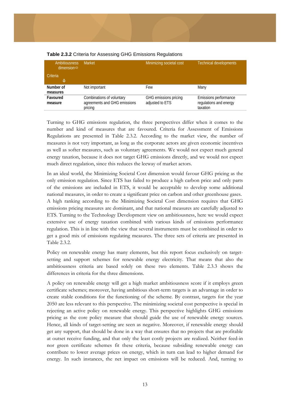| <b>Ambitiousness</b><br>dimension $\Rightarrow$ | <b>Market</b>                                                        | Minimizing societal cost                 | Technical developments                                      |  |
|-------------------------------------------------|----------------------------------------------------------------------|------------------------------------------|-------------------------------------------------------------|--|
| Criteria<br>⇩                                   |                                                                      |                                          |                                                             |  |
| Number of<br>measures                           | Not important                                                        | Few                                      | Many                                                        |  |
| Favoured<br>measure                             | Combinations of voluntary<br>agreements and GHG emissions<br>pricing | GHG emissions pricing<br>adjusted to ETS | Emissions performance<br>regulations and energy<br>taxation |  |

#### **Table 2.3.2** Criteria for Assessing GHG Emissions Regulations

Turning to GHG emissions regulation, the three perspectives differ when it comes to the number and kind of measures that are favoured. Criteria for Assessment of Emissions Regulations are presented in Table 2.3.2. According to the market view, the number of measures is not very important, as long as the corporate actors are given economic incentives as well as softer measures, such as voluntary agreements. We would not expect much general energy taxation, because it does not target GHG emissions directly, and we would not expect much direct regulation, since this reduces the leeway of market actors.

In an ideal world, the Minimizing Societal Cost dimension would favour GHG pricing as the only emission regulation. Since ETS has failed to produce a high carbon price and only parts of the emissions are included in ETS, it would be acceptable to develop some additional national measures, in order to create a significant price on carbon and other greenhouse gases. A high ranking according to the Minimizing Societal Cost dimension requires that GHG emissions pricing measures are dominant, and that national measures are carefully adjusted to ETS. Turning to the Technology Development view on ambitiousness, here we would expect extensive use of energy taxation combined with various kinds of emissions performance regulation. This is in line with the view that several instruments must be combined in order to get a good mix of emissions regulating measures. The three sets of criteria are presented in Table 2.3.2.

Policy on renewable energy has many elements, but this report focus exclusively on targetsetting and support schemes for renewable energy electricity. That means that also the ambitiousness criteria are based solely on these two elements. Table 2.3.3 shows the differences in criteria for the three dimensions.

A policy on renewable energy will get a high market ambitiousness score if it employs green certificate schemes; moreover, having ambitious short-term targets is an advantage in order to create stable conditions for the functioning of the scheme. By contrast, targets for the year 2050 are less relevant to this perspective. The minimizing societal cost perspective is special in rejecting an active policy on renewable energy. This perspective highlights GHG emissions pricing as the core policy measure that should guide the use of renewable energy sources. Hence, all kinds of target-setting are seen as negative. Moreover, if renewable energy should get any support, that should be done in a way that ensures that no projects that are profitable at outset receive funding, and that only the least costly projects are realized. Neither feed-in nor green certificate schemes fit these criteria, because subsiding renewable energy can contribute to lower average prices on energy, which in turn can lead to higher demand for energy. In such instances, the net impact on emissions will be reduced. And, turning to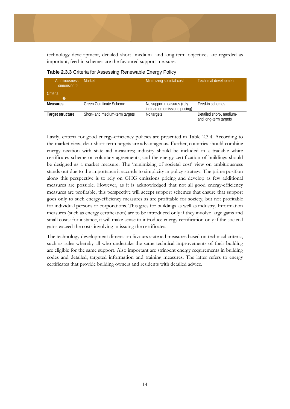technology development, detailed short- medium- and long-term objectives are regarded as important; feed-in schemes are the favoured support measure.

| Ambitiousness<br>dimension $\Rightarrow$ | <b>Market</b>                  | Minimizing societal cost                                   | Technical development                             |
|------------------------------------------|--------------------------------|------------------------------------------------------------|---------------------------------------------------|
| Criteria<br>⇩                            |                                |                                                            |                                                   |
| <b>Measures</b>                          | Green Certificate Scheme       | No support measures (rely<br>instead on emissions pricing) | Feed-in schemes                                   |
| Target structure                         | Short- and medium-term targets | No targets                                                 | Detailed short-, medium-<br>and long-term targets |

Lastly, criteria for good energy-efficiency policies are presented in Table 2.3.4. According to the market view, clear short-term targets are advantageous. Further, countries should combine energy taxation with state aid measures; industry should be included in a tradable white certificates scheme or voluntary agreements, and the energy certification of buildings should be designed as a market measure. The 'minimizing of societal cost' view on ambitiousness stands out due to the importance it accords to simplicity in policy strategy. The prime position along this perspective is to rely on GHG emissions pricing and develop as few additional measures are possible. However, as it is acknowledged that not all good energy-efficiency measures are profitable, this perspective will accept support schemes that ensure that support goes only to such energy-efficiency measures as are profitable for society, but not profitable for individual persons or corporations. This goes for buildings as well as industry. Information measures (such as energy certification) are to be introduced only if they involve large gains and small costs: for instance, it will make sense to introduce energy certification only if the societal gains exceed the costs involving in issuing the certificates.

The technology-development dimension favours state aid measures based on technical criteria, such as rules whereby all who undertake the same technical improvements of their building are eligible for the same support. Also important are stringent energy requirements in building codes and detailed, targeted information and training measures. The latter refers to energy certificates that provide building owners and residents with detailed advice.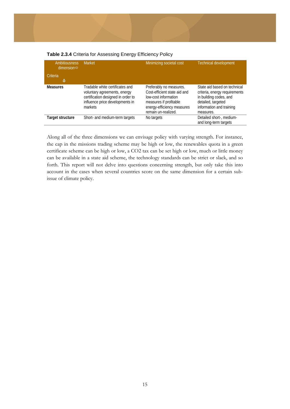| Market<br><b>Ambitiousness</b><br>dimension $\Rightarrow$ |                                                                                                                                                     | Minimizing societal cost                                                                                                                                       | <b>Technical development</b>                                                                                                                           |  |
|-----------------------------------------------------------|-----------------------------------------------------------------------------------------------------------------------------------------------------|----------------------------------------------------------------------------------------------------------------------------------------------------------------|--------------------------------------------------------------------------------------------------------------------------------------------------------|--|
| Criteria<br>⇩                                             |                                                                                                                                                     |                                                                                                                                                                |                                                                                                                                                        |  |
| <b>Measures</b>                                           | Tradable white certificates and<br>voluntary agreements, energy<br>certification designed in order to<br>influence price developments in<br>markets | Preferably no measures.<br>Cost-efficient state aid and<br>low-cost information<br>measures if profitable<br>energy-efficiency measures<br>remain un-realized. | State aid based on technical<br>criteria, energy requirements<br>in building codes, and<br>detailed, targeted<br>information and training<br>measures. |  |
| Target structure                                          | Short- and medium-term targets                                                                                                                      | No targets                                                                                                                                                     | Detailed short-, medium-<br>and long-term targets                                                                                                      |  |

| <b>Table 2.3.4 Criteria for Assessing Energy Efficiency Policy</b> |
|--------------------------------------------------------------------|
|--------------------------------------------------------------------|

Along all of the three dimensions we can envisage policy with varying strength. For instance, the cap in the missions trading scheme may be high or low, the renewables quota in a green certificate scheme can be high or low, a CO2 tax can be set high or low, much or little money can be available in a state aid scheme, the technology standards can be strict or slack, and so forth. This report will not delve into questions concerning strength, but only take this into account in the cases when several countries score on the same dimension for a certain subissue of climate policy.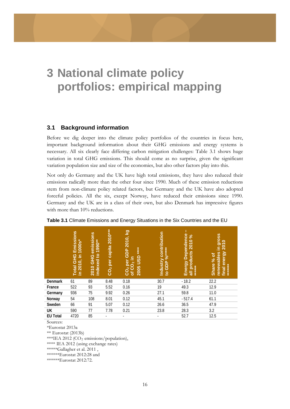# <span id="page-16-0"></span>**3 National climate policy portfolios: empirical mapping**

#### <span id="page-16-1"></span>**3.1 Background information**

Before we dig deeper into the climate policy portfolios of the countries in focus here, important background information about their GHG emissions and energy systems is necessary. All six clearly face differing carbon mitigation challenges: Table 3.1 shows huge variation in total GHG emissions. This should come as no surprise, given the significant variation population size and size of the economies, but also other factors play into this.

Not only do Germany and the UK have high total emissions, they have also reduced their emissions radically more than the other four since 1990. Much of these emission reductions stem from non-climate policy related factors, but Germany and the UK have also adopted forceful policies. All the six, except Norway, have reduced their emissions since 1990. Germany and the UK are in a class of their own, but also Denmark has impressive figures with more than 10% reductions.

|                 | Emissions<br>$1000s^*$<br><b>GHG</b><br>Ø<br>in 2010,<br><b>Total</b> | emissions<br>1990**<br>$\overline{5}$<br><b>GHO</b><br>indexed<br>2010 | 2010***<br><b>Capita</b><br>per<br>CO <sub>2</sub> | <u>ତୁ</u><br>2010,<br>****<br>2 per GDP<br>usp<br>$\overline{O_2}$ in<br>2005<br>ŏ<br>8<br>$\overline{\sigma}$ | Industry contribution<br>$\frac{9}{6}$ *****<br><b>GDP</b> | <b>Energy Dependence</b><br>$\bm{s}$<br>2010<br>products<br>$***$<br>高 | gross<br>2010<br>g<br>final energy<br>renewables<br>৳<br>Share %<br>******* |
|-----------------|-----------------------------------------------------------------------|------------------------------------------------------------------------|----------------------------------------------------|----------------------------------------------------------------------------------------------------------------|------------------------------------------------------------|------------------------------------------------------------------------|-----------------------------------------------------------------------------|
| <b>Denmark</b>  | 61                                                                    | 89                                                                     | 8.48                                               | 0.18                                                                                                           | 30.7                                                       | $-18.2$                                                                | 22.2                                                                        |
| France          | 522                                                                   | 93                                                                     | 5.52                                               | 0.16                                                                                                           | 19                                                         | 49.3                                                                   | 12.9                                                                        |
| Germany         | 936                                                                   | 75                                                                     | 9.92                                               | 0.26                                                                                                           | 27.1                                                       | 59.8                                                                   | 11.0                                                                        |
| Norway          | 54                                                                    | 108                                                                    | 8.01                                               | 0.12                                                                                                           | 45.1                                                       | $-517.4$                                                               | 61.1                                                                        |
| Sweden          | 66                                                                    | 91                                                                     | 5.07                                               | 0.12                                                                                                           | 26.6                                                       | 36.5                                                                   | 47.9                                                                        |
| UK              | 590                                                                   | 77                                                                     | 7.78                                               | 0.21                                                                                                           | 23.8                                                       | 28.3                                                                   | 3.2                                                                         |
| <b>EU Total</b> | 4720                                                                  | 85                                                                     |                                                    |                                                                                                                |                                                            | 52.7                                                                   | 12.5                                                                        |

**Table 3.1** Climate Emissions and Energy Situations in the Six Countries and the EU

Sources:

\*Eurostat 2013a

\*\* Eurostat (2013b)

\*\*\*IEA 2012 ( $CO<sub>2</sub>$  emissions/population),

\*\*\*\* IEA 2012 (using exchange rates)

\*\*\*\*\*Gallagher et al. 2011 ,

\*\*\*\*\*\*Eurostat 2012:28 and

\*\*\*\*\*\*Eurostat 2012:72.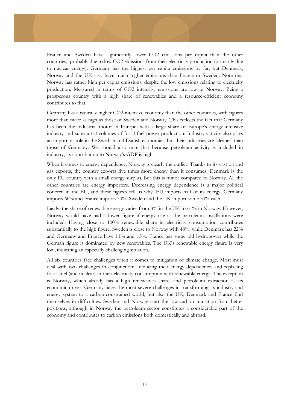France and Sweden have significantly lower CO2 emissions per capita than the other countries, probably due to low CO2 emissions from their electricity production (primarily due to nuclear energy). Germany has the highest per capita emissions by far, but Denmark, Norway and the UK also have much higher emissions than France or Sweden. Note that Norway has rather high per capita emissions, despite the low emissions relating to electricity production. Measured in terms of CO2 intensity, emissions are low in Norway. Being a prosperous country with a high share of renewables and a resource-efficient economy contributes to that.

Germany has a radically higher CO2-intensive economy than the other countries, with figures more than twice as high as those of Sweden and Norway. This reflects the fact that Germany has been the industrial motor in Europe, with a large share of Europe's energy-intensive industry and substantial volumes of fossil fuel power production. Industry activity also plays an important role in the Swedish and Danish economies, but their industries are 'cleaner' than those of Germany. We should also note that because petroleum activity is included in industry, its contribution to Norway's GDP is high.

When it comes to energy dependence, Norway is clearly the outlier. Thanks to its vast oil and gas exports, the country exports five times more energy than it consumes. Denmark is the only EU country with a small energy surplus, but this is minor compared to Norway. All the other countries are energy importers. Decreasing energy dependence is a major political concern in the EU, and these figures tell us why. EU imports half of its energy, Germany imports 60% and France imports 50%. Sweden and the UK import some 30% each.

Lastly, the share of renewable energy varies from 3% in the UK to 61% in Norway. However, Norway would have had a lower figure if energy use at the petroleum installations were included. Having close to 100% renewable share in electricity consumption contributes substantially to the high figure. Sweden is close to Norway with 48%, while Denmark has 22% and Germany and France have 11% and 13%. France has some old hydropower while the German figure is dominated by new renewables. The UK's renewable energy figure is very low, indicating an especially challenging situation.

All six countries face challenges when it comes to mitigation of climate change. Most must deal with two challenges in conjunction: reducing their energy dependence, and replacing fossil fuel (and nuclear) in their electricity consumption with renewable energy. The exception is Norway, which already has a high renewables share, and petroleum extraction as its economic driver. Germany faces the most severe challenges in transforming its industry and energy system to a carbon-constrained world, but also the UK, Denmark and France find themselves in difficulties. Sweden and Norway start the low-carbon transition from better positions, although in Norway the petroleum sector constitutes a considerable part of the economy and contributes to carbon emissions both domestically and abroad.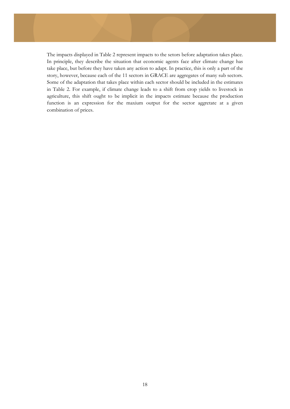The impacts displayed in Table 2 represent impacts to the setors before adaptation takes place. In principle, they describe the situation that economic agents face after climate change has take place, but before they have taken any action to adapt. In practice, this is only a part of the story, however, because each of the 11 sectors in GRACE are aggregates of many sub sectors. Some of the adaptation that takes place within each sector should be included in the estimates in Table 2. For example, if climate change leads to a shift from crop yields to livestock in agriculture, this shift ought to be implicit in the impacts estimate because the production function is an expression for the maxium output for the sector aggretate at a given combination of prices.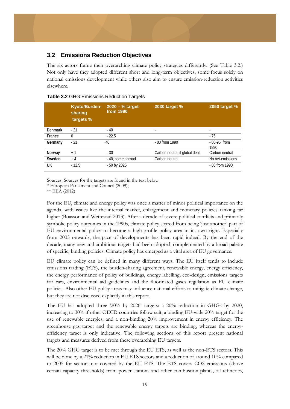#### <span id="page-19-0"></span>**3.2 Emissions Reduction Objectives**

The six actors frame their overarching climate policy strategies differently. (See Table 3.2.) Not only have they adopted different short and long-term objectives, some focus solely on national emissions development while others also aim to ensure emission-reduction activities elsewhere.

|                | Kyoto/Burden-<br>sharing<br>targets % | $2020 - %$ target<br>from $1990$ | 2030 target %                 | 2050 target %         |
|----------------|---------------------------------------|----------------------------------|-------------------------------|-----------------------|
| <b>Denmark</b> | $-21$                                 | $-40$                            | ٠                             | ٠                     |
| France         | $\theta$                              | $-22.5$                          |                               | - 75                  |
| Germany        | $-21$                                 | .40                              | - 80 from 1990                | $-80-95$ from<br>1990 |
| Norway         | $+1$                                  | $-30$                            | Carbon neutral if global deal | Carbon neutral        |
| Sweden         | $+4$                                  | - 40, some abroad                | Carbon neutral                | No net-emissions      |
| UK             | $-12.5$                               | - 50 by 2025                     |                               | - 80 from 1990        |

#### **Table 3.2** GHG Emissions Reduction Targets

Sources: Sources for the targets are found in the text below

\* European Parliament and Council (2009),

\*\* EEA (2012)

For the EU, climate and energy policy was once a matter of minor political importance on the agenda, with issues like the internal market, enlargement and monetary policies ranking far higher (Boasson and Wettestad 2013). After a decade of severe political conflicts and primarily symbolic policy outcomes in the 1990s, climate policy soared from being 'just another' part of EU environmental policy to become a high-profile policy area in its own right. Especially from 2005 onwards, the pace of developments has been rapid indeed. By the end of the decade, many new and ambitious targets had been adopted, complemented by a broad palette of specific, binding policies. Climate policy has emerged as a vital area of EU governance.

EU climate policy can be defined in many different ways. The EU itself tends to include emissions trading (ETS), the burden-sharing agreement, renewable energy, energy efficiency, the energy performance of policy of buildings, energy labelling, eco-design, emissions targets for cars, environmental aid guidelines and the fluorinated gases regulation as EU climate policies. Also other EU policy areas may influence national efforts to mitigate climate change, but they are not discussed explicitly in this report.

The EU has adopted three '20% by 2020' targets: a 20% reduction in GHGs by 2020, increasing to 30% if other OECD countries follow suit, a binding EU-wide 20% target for the use of renewable energies, and a non-binding 20% improvement in energy efficiency. The greenhouse gas target and the renewable energy targets are binding, whereas the energyefficiency target is only indicative. The following sections of this report present national targets and measures derived from these overarching EU targets.

The 20% GHG target is to be met through the EU ETS, as well as the non-ETS sectors. This will be done by a 21% reduction in EU ETS sectors and a reduction of around 10% compared to 2005 for sectors not covered by the EU ETS. The ETS covers CO2 emissions (above certain capacity thresholds) from power stations and other combustion plants, oil refineries,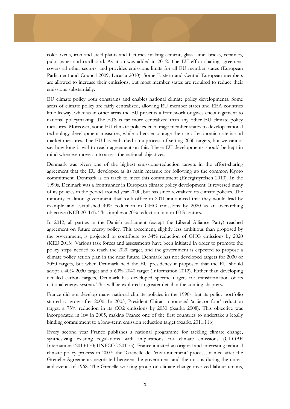coke ovens, iron and steel plants and factories making cement, glass, lime, bricks, ceramics, pulp, paper and cardboard. Aviation was added in 2012. The EU effort-sharing agreement covers all other sectors, and provides emissions limits for all EU member states (European Parliament and Council 2009; Lacasta 2010). Some Eastern and Central European members are allowed to increase their emissions, but most member states are required to reduce their emissions substantially.

EU climate policy both constrains and enables national climate policy developments. Some areas of climate policy are fairly centralized, allowing EU member states and EEA countries little leeway, whereas in other areas the EU presents a framework or gives encouragement to national policymaking. The ETS is far more centralized than any other EU climate policy measures. Moreover, some EU climate policies encourage member states to develop national technology development measures, while others encourage the use of economic criteria and market measures. The EU has embarked on a process of setting 2030 targets, but we cannot say how long it will to reach agreement on this. These EU developments should be kept in mind when we move on to assess the national objectives.

Denmark was given one of the highest emissions-reduction targets in the effort-sharing agreement that the EU developed as its main measure for following up the common Kyoto commitment. Denmark is on track to meet this commitment (Energistyrelsen 2010). In the 1990s, Denmark was a frontrunner in European climate policy development. It reversed many of its policies in the period around year 2000, but has since revitalized its climate policies. The minority coalition government that took office in 2011 announced that they would lead by example and established 40% reduction in GHG emissions by 2020 as an overarching objective (KEB 2011:1). This implies a 20% reduction in non-ETS sectors.

In 2012, all parties in the Danish parliament (except the Liberal Alliance Party) reached agreement on future energy policy. This agreement, slightly less ambitious than proposed by the government, is projected to contribute to 34% reduction of GHG emissions by 2020 (KEB 2013). Various task forces and assessments have been initiated in order to promote the policy steps needed to reach the 2020 target, and the government is expected to propose a climate policy action plan in the near future. Denmark has not developed targets for 2030 or 2050 targets, but when Denmark held the EU presidency it proposed that the EU should adopt a 40% 2030 target and a 60% 2040 target (Information 2012). Rather than developing detailed carbon targets, Denmark has developed specific targets for transformation of its national energy system. This will be explored in greater detail in the coming chapters.

France did not develop many national climate policies in the 1990s, but its policy portfolio started to grow after 2000. In 2003, President Chirac announced 'a factor four' reduction target: a 75% reduction in its CO2 emissions by 2050 (Szarka 2008). This objective was incorporated in law in 2005, making France one of the first countries to undertake a legally binding commitment to a long-term emission reduction target (Szarka 2011:116).

Every second year France publishes a national programme for tackling climate change, synthesizing existing regulations with implications for climate emissions (GLOBE International 2013:170; UNFCCC 2011:5). France initiated an original and interesting national climate policy process in 2007: the 'Grenelle de l'environnement' process, named after the Grenelle Agreements negotiated between the government and the unions during the unrest and events of 1968. The Grenelle working group on climate change involved labour unions,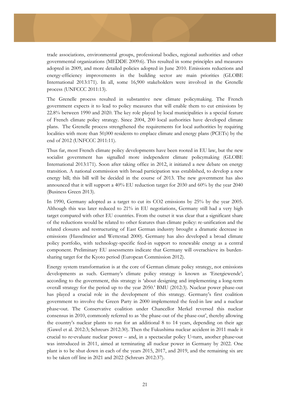trade associations, environmental groups, professional bodies, regional authorities and other governmental organizations (MEDDE 2009:6). This resulted in some principles and measures adopted in 2009, and more detailed policies adopted in June 2010. Emissions reductions and energy-efficiency improvements in the building sector are main priorities (GLOBE International 2013:171). In all, some 16,900 stakeholders were involved in the Grenelle process (UNFCCC 2011:13).

The Grenelle process resulted in substantive new climate policymaking. The French government expects it to lead to policy measures that will enable them to cut emissions by 22.8% between 1990 and 2020. The key role played by local municipalities is a special feature of French climate policy strategy. Since 2004, 200 local authorities have developed climate plans. The Grenelle process strengthened the requirements for local authorities by requiring localities with more than 50,000 residents to emplace climate and energy plans (PCETs) by the end of 2012 (UNFCCC 2011:11).

Thus far, most French climate policy developments have been rooted in EU law, but the new socialist government has signalled more independent climate policymaking (GLOBE International 2013:171). Soon after taking office in 2012, it initiated a new debate on energy transition. A national commission with broad participation was established, to develop a new energy bill; this bill will be decided in the course of 2013. The new government has also announced that it will support a 40% EU reduction target for 2030 and 60% by the year 2040 (Business Green 2013).

In 1990, Germany adopted as a target to cut its CO2 emissions by 25% by the year 2005. Although this was later reduced to 21% in EU negotiations, Germany still had a very high target compared with other EU countries. From the outset it was clear that a significant share of the reductions would be related to other features than climate policy: re-unification and the related closures and restructuring of East German industry brought a dramatic decrease in emissions (Hasselmeier and Wettestad 2000). Germany has also developed a broad climate policy portfolio, with technology-specific feed-in support to renewable energy as a central component. Preliminary EU assessments indicate that Germany will overachieve its burdensharing target for the Kyoto period (European Commission 2012).

Energy system transformation is at the core of German climate policy strategy, not emissions developments as such. Germany's climate policy strategy is known as 'Energiewende'; according to the government, this strategy is 'about designing and implementing a long-term overall strategy for the period up to the year 2050.' BMU (2012:3). Nuclear power phase-out has played a crucial role in the development of this strategy. Germany's first coalition government to involve the Green Party in 2000 implemented the feed-in law and a nuclear phase‐out. The Conservative coalition under Chancellor Merkel reversed this nuclear consensus in 2010, commonly referred to as 'the phase-out of the phase-out', thereby allowing the country's nuclear plants to run for an additional 8 to 14 years, depending on their age (Gawel et al. 2012:3; Schreurs 2012:30). Then the Fukushima nuclear accident in 2011 made it crucial to re-evaluate nuclear power – and, in a spectacular policy U-turn, another phase-out was introduced in 2011, aimed at terminating all nuclear power in Germany by 2022. One plant is to be shut down in each of the years 2015, 2017, and 2019, and the remaining six are to be taken off line in 2021 and 2022 (Schreurs 2012:37).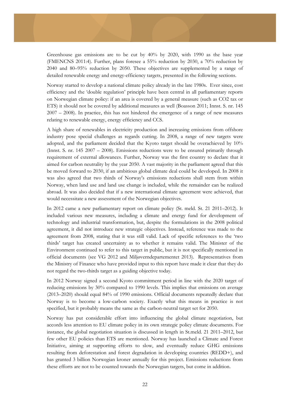Greenhouse gas emissions are to be cut by 40% by 2020, with 1990 as the base year (FMENCNS 2011:4). Further, plans foresee a 55% reduction by 2030, a 70% reduction by 2040 and 80–95% reduction by 2050. These objectives are supplemented by a range of detailed renewable energy and energy-efficiency targets, presented in the following sections.

Norway started to develop a national climate policy already in the late 1980s. Ever since, cost efficiency and the 'double regulation' principle have been central in all parliamentary reports on Norwegian climate policy: if an area is covered by a general measure (such as CO2 tax or ETS) it should not be covered by additional measures as well (Boasson 2011; Innst. S. nr. 145 2007 – 2008). In practice, this has not hindered the emergence of a range of new measures relating to renewable energy, energy efficiency and CCS.

A high share of renewables in electricity production and increasing emissions from offshore industry pose special challenges as regards cutting. In 2008, a range of new targets were adopted, and the parliament decided that the Kyoto target should be overachieved by 10% (Innst. S. nr. 145 2007 – 2008). Emissions reductions were to be ensured primarily through requirement of external allowances. Further, Norway was the first country to declare that it aimed for carbon neutrality by the year 2050. A vast majority in the parliament agreed that this be moved forward to 2030, if an ambitious global climate deal could be developed. In 2008 it was also agreed that two thirds of Norway's emissions reductions shall stem from within Norway, when land use and land use change is included, while the remainder can be realized abroad. It was also decided that if a new international climate agreement were achieved, that would necessitate a new assessment of the Norwegian objectives.

In 2012 came a new parliamentary report on climate policy (St. meld. St. 21 2011–2012). It included various new measures, including a climate and energy fund for development of technology and industrial transformation, but, despite the formulations in the 2008 political agreement, it did not introduce new strategic objectives. Instead, reference was made to the agreement from 2008, stating that it was still valid. Lack of specific references to the 'two thirds' target has created uncertainty as to whether it remains valid. The Minister of the Environment continued to refer to this target in public, but it is not specifically mentioned in official documents (see VG 2012 and Miljøverndepartementet 2013). Representatives from the Ministry of Finance who have provided input to this report have made it clear that they do not regard the two-thirds target as a guiding objective today.

In 2012 Norway signed a second Kyoto commitment period in line with the 2020 target of reducing emissions by 30% compared to 1990 levels. This implies that emissions on average (2013–2020) should equal 84% of 1990 emissions. Official documents repeatedly declare that Norway is to become a low-carbon society. Exactly what this means in practice is not specified, but it probably means the same as the carbon-neutral target set for 2050.

Norway has put considerable effort into influencing the global climate negotiation, but accords less attention to EU climate policy in its own strategic policy climate documents. For instance, the global negotiation situation is discussed in length in St.meld. 21 2011–2012, but few other EU policies than ETS are mentioned. Norway has launched a Climate and Forest Initiative, aiming at supporting efforts to slow, and eventually reduce GHG emissions resulting from deforestation and forest degradation in developing countries (REDD+), and has granted 3 billion Norwegian kroner annually for this project. Emissions reductions from these efforts are not to be counted towards the Norwegian targets, but come in addition.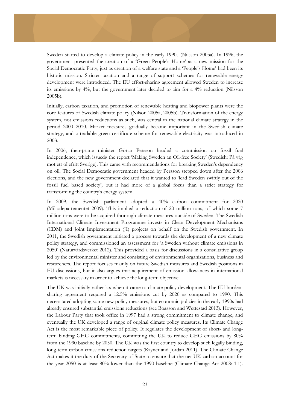Sweden started to develop a climate policy in the early 1990s (Nilsson 2005a). In 1996, the government presented the creation of a 'Green People's Home' as a new mission for the Social Democratic Party, just as creation of a welfare state and a 'People's Home' had been its historic mission. Stricter taxation and a range of support schemes for renewable energy development were introduced. The EU effort-sharing agreement allowed Sweden to increase its emissions by 4%, but the government later decided to aim for a 4% reduction (Nilsson 2005b).

Initially, carbon taxation, and promotion of renewable heating and biopower plants were the core features of Swedish climate policy (Nilson 2005a, 2005b). Transformation of the energy system, not emissions reductions as such, was central in the national climate strategy in the period 2000–2010. Market measures gradually became important in the Swedish climate strategy, and a tradable green certificate scheme for renewable electricity was introduced in 2003.

In 2006, then-prime minister Göran Persson headed a commission on fossil fuel independence, which issuedg the report 'Making Sweden an Oil-free Society' (Swedish: På väg mot ett oljefritt Sverige). This came with recommendations for breaking Sweden's dependency on oil. The Social Democratic government headed by Persson stepped down after the 2006 elections, and the new government declared that it wanted to 'lead Sweden swiftly out of the fossil fuel based society', but it had more of a global focus than a strict strategy for transforming the country's energy system.

In 2009, the Swedish parliament adopted a 40% carbon commitment for 2020 (Miljödepartementet 2009). This implied a reduction of 20 million tons, of which some 7 million tons were to be acquired thorough climate measures outside of Sweden. The Swedish International Climate Investment Programme invests in Clean Development Mechanisms (CDM) and Joint Implementation (JI) projects on behalf on the Swedish government. In 2011, the Swedish government initiated a process towards the development of a new climate policy strategy, and commissioned an assessment for 'a Sweden without climate emissions in 2050' (Naturvårdsverket 2012). This provided a basis for discussions in a consultative group led by the environmental minister and consisting of environmental organizations, business and researchers. The report focuses mainly on future Swedish measures and Swedish positions in EU discussions, but it also argues that acquirement of emission allowances in international markets is necessary in order to achieve the long-term objective.

The UK was initially rather lax when it came to climate policy development. The EU burdensharing agreement required a 12.5% emissions cut by 2020 as compared to 1990. This necessitated adopting some new policy measures, but economic policies in the early 1990s had already ensured substantial emissions reductions (see Boasson and Wettestad 2013). However, the Labour Party that took office in 1997 had a strong commitment to climate change, and eventually the UK developed a range of original climate policy measures. Its Climate Change Act is the most remarkable piece of policy. It regulates the development of short- and longterm binding GHG commitments, committing the UK to reduce GHG emissions by 80% from the 1990 baseline by 2050. The UK was the first country to develop such legally binding, long-term carbon emissions-reduction targets (Rayner and Jordan 2011). The Climate Change Act makes it the duty of the Secretary of State to ensure that the net UK carbon account for the year 2050 is at least 80% lower than the 1990 baseline (Climate Change Act 2008: 1.1).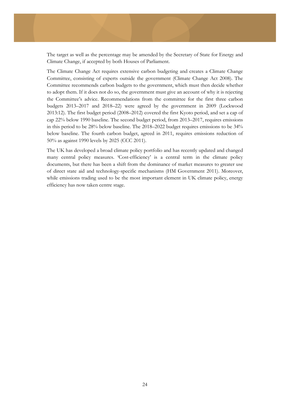The target as well as the percentage may be amended by the Secretary of State for Energy and Climate Change, if accepted by both Houses of Parliament.

The Climate Change Act requires extensive carbon budgeting and creates a Climate Change Committee, consisting of experts outside the government (Climate Change Act 2008). The Committee recommends carbon budgets to the government, which must then decide whether to adopt them. If it does not do so, the government must give an account of why it is rejecting the Committee's advice. Recommendations from the committee for the first three carbon budgets 2013–2017 and 2018–22) were agreed by the government in 2009 (Lockwood 2013:12). The first budget period (2008–2012) covered the first Kyoto period, and set a cap of cap 22% below 1990 baseline. The second budget period, from 2013–2017, requires emissions in this period to be 28% below baseline. The 2018–2022 budget requires emissions to be 34% below baseline. The fourth carbon budget, agreed in 2011, requires emissions reduction of 50% as against 1990 levels by 2025 (CCC 2011).

The UK has developed a broad climate policy portfolio and has recently updated and changed many central policy measures. 'Cost-efficiency' is a central term in the climate policy documents, but there has been a shift from the dominance of market measures to greater use of direct state aid and technology-specific mechanisms (HM Government 2011). Moreover, while emissions trading used to be the most important element in UK climate policy, energy efficiency has now taken centre stage.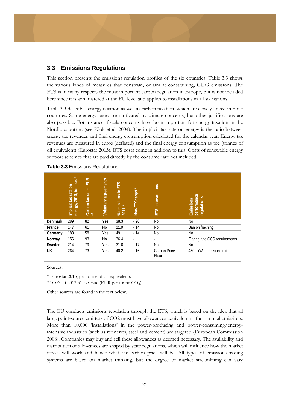#### <span id="page-25-0"></span>**3.3 Emissions Regulations**

This section presents the emissions regulation profiles of the six countries. Table 3.3 shows the various kinds of measures that constrain, or aim at constraining, GHG emissions. The ETS is in many respects the most important carbon regulation in Europe, but is not included here since it is administered at the EU level and applies to installations in all six nations.

Table 3.3 describes energy taxation as well as carbon taxation, which are closely linked in most countries. Some energy taxes are motivated by climate concerns, but other justifications are also possible. For instance, fiscals concerns have been important for energy taxation in the Nordic countries (see Klok et al. 2004). The implicit tax rate on energy is the ratio between energy tax revenues and final energy consumption calculated for the calendar year. Energy tax revenues are measured in euros (deflated) and the final energy consumption as toe (tonnes of oil equivalent) (Eurostat 2013). ETS costs come in addition to this. Costs of renewable energy support schemes that are paid directly by the consumer are not included.

|                | ×<br>2010, ton o.e.<br>tax rate on<br>Implicit<br>energy, | EUR<br>Carbon tax rates, | Voluntary agreements | % emissions in ETS<br>2011** | Non-ETS target* | ETS-interventions            | performance<br>regulations<br>Emissions |
|----------------|-----------------------------------------------------------|--------------------------|----------------------|------------------------------|-----------------|------------------------------|-----------------------------------------|
| <b>Denmark</b> | 289                                                       | 82                       | Yes                  | 38.3                         | $-20$           | <b>No</b>                    | No                                      |
| France         | 147                                                       | 61                       | <b>No</b>            | 21.9                         | $-14$           | <b>No</b>                    | Ban on fraching                         |
| Germany        | 183                                                       | 58                       | Yes                  | 49.1                         | $-14$           | No                           | No                                      |
| Norway         | 156                                                       | 93                       | No                   | 36.4                         |                 |                              | Flaring and CCS requirements            |
| Sweden         | 214                                                       | 79                       | Yes                  | 31.6                         | $-17$           | No                           | No                                      |
| UK             | 264                                                       | 73                       | Yes                  | 40.2                         | $-16$           | <b>Carbon Price</b><br>Floor | 450g/kWh emission limit                 |

#### **Table 3.3** Emissions Regulations

Sources:

\* Eurostat 2013, per tonne of oil equivalents.

\*\* OECD 2013:31, tax rate (EUR per tonne  $CO<sub>2</sub>$ ).

Other sources are found in the text below.

The EU conducts emissions regulation through the ETS, which is based on the idea that all large point-source emitters of CO2 must have allowances equivalent to their annual emissions. More than 10,000 'installations' in the power-producing and power-consuming/energyintensive industries (such as refineries, steel and cement) are targeted (European Commission 2008). Companies may buy and sell these allowances as deemed necessary. The availability and distribution of allowances are shaped by state regulations, which will influence how the market forces will work and hence what the carbon price will be. All types of emissions-trading systems are based on market thinking, but the degree of market streamlining can vary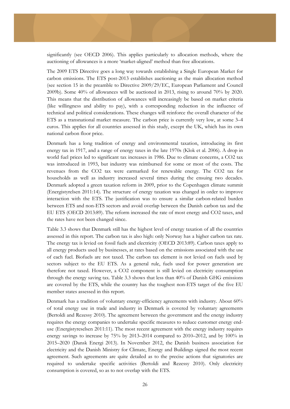significantly (see OECD 2006). This applies particularly to allocation methods, where the auctioning of allowances is a more 'market-aligned' method than free allocations.

The 2009 ETS Directive goes a long way towards establishing a Single European Market for carbon emissions. The ETS post-2013 establishes auctioning as the main allocation method (see section 15 in the preamble to Directive 2009/29/EC, European Parliament and Council 2009b). Some 40% of allowances will be auctioned in 2013, rising to around 70% by 2020. This means that the distribution of allowances will increasingly be based on market criteria (like willingness and ability to pay), with a corresponding reduction in the influence of technical and political considerations. These changes will reinforce the overall character of the ETS as a transnational market measure. The carbon price is currently very low, at some 3–4 euros. This applies for all countries assessed in this study, except the UK, which has its own national carbon floor price.

Denmark has a long tradition of energy and environmental taxation, introducing its first energy tax in 1917, and a range of energy taxes in the late 1970s (Klok et al. 2006). A drop in world fuel prices led to significant tax increases in 1986. Due to climate concerns, a CO2 tax was introduced in 1993, but industry was reimbursed for some or most of the costs. The revenues from the CO2 tax were earmarked for renewable energy. The CO2 tax for households as well as industry increased several times during the ensuing two decades. Denmark adopted a green taxation reform in 2009, prior to the Copenhagen climate summit (Energistyrelsen 2011:14). The structure of energy taxation was changed in order to improve interaction with the ETS. The justification was to ensure a similar carbon-related burden between ETS and non-ETS sectors and avoid overlap between the Danish carbon tax and the EU ETS (OECD 2013:89). The reform increased the rate of most energy and CO2 taxes, and the rates have not been changed since.

Table 3.3 shows that Denmark still has the highest level of energy taxation of all the countries assessed in this report. The carbon tax is also high: only Norway has a higher carbon tax rate. The energy tax is levied on fossil fuels and electricity (OECD 2013:89). Carbon taxes apply to all energy products used by businesses, at rates based on the emissions associated with the use of each fuel. Biofuels are not taxed. The carbon tax element is not levied on fuels used by sectors subject to the EU ETS. As a general rule, fuels used for power generation are therefore not taxed. However, a CO2 component is still levied on electricity consumption through the energy saving tax. Table 3.3 shows that less than 40% of Danish GHG emissions are covered by the ETS, while the country has the toughest non-ETS target of the five EU member states assessed in this report.

Denmark has a tradition of voluntary energy-efficiency agreements with industry. About 60% of total energy use in trade and industry in Denmark is covered by voluntary agreements (Bertoldi and Rezessy 2010). The agreement between the government and the energy industry requires the energy companies to undertake specific measures to reduce customer energy enduse (Energistyreselsen 2011:11). The most recent agreement with the energy industry requires energy savings to increase by 75% by 2013–2014 compared to 2010–2012, and by 100% in 2015–2020 (Dansk Energi 2013). In November 2012, the Danish business association for electricity and the Danish Ministry for Climate, Energy and Buildings signed the most recent agreement. Such agreements are quite detailed as to the precise actions that signatories are required to undertake specific activities (Bertoldi and Rezessy 2010). Only electricity consumption is covered, so as to not overlap with the ETS.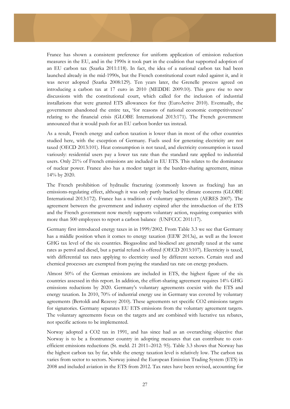France has shown a consistent preference for uniform application of emission reduction measures in the EU, and in the 1990s it took part in the coalition that supported adoption of an EU carbon tax (Szarka 2011:118). In fact, the idea of a national carbon tax had been launched already in the mid-1990s, but the French constitutional court ruled against it, and it was never adopted (Szarka 2008:129). Ten years later, the Grenelle process agreed on introducing a carbon tax at 17 euro in 2010 (MEDDE 2009:10). This gave rise to new discussions with the constitutional court, which called for the inclusion of industrial installations that were granted ETS allowances for free (EuroActive 2010). Eventually, the government abandoned the entire tax, 'for reasons of national economic competitiveness' relating to the financial crisis (GLOBE International 2013:171). The French government announced that it would push for an EU carbon border tax instead.

As a result, French energy and carbon taxation is lower than in most of the other countries studied here, with the exception of Germany. Fuels used for generating electricity are not taxed (OECD 2013:101). Heat consumption is not taxed, and electricity consumption is taxed variously: residential users pay a lower tax rate than the standard rate applied to industrial users. Only 21% of French emissions are included in EU ETS. This relates to the dominance of nuclear power. France also has a modest target in the burden-sharing agreement, minus 14% by 2020.

The French prohibition of hydraulic fracturing (commonly known as fracking) has an emissions-regulating effect, although it was only partly backed by climate concerns (GLOBE International 2013:172). France has a tradition of voluntary agreements (AERES 2007). The agreement between the government and industry expired after the introduction of the ETS and the French government now merely supports voluntary action, requiring companies with more than 500 employees to report a carbon balance (UNFCCC 2011:17).

Germany first introduced energy taxes in in 1999/2002. From Table 3.3 we see that Germany has a middle position when it comes to energy taxation (EEW 2013a), as well as the lowest GHG tax level of the six countries. Biogasoline and biodiesel are generally taxed at the same rates as petrol and diesel, but a partial refund is offered (OECD 2013:107). Electricity is taxed, with differential tax rates applying to electricity used by different sectors. Certain steel and chemical processes are exempted from paying the standard tax rate on energy products.

Almost 50% of the German emissions are included in ETS, the highest figure of the six countries assessed in this report. In addition, the effort-sharing agreement requires 14% GHG emissions reductions by 2020. Germany's voluntary agreements coexist with the ETS and energy taxation. In 2010, 70% of industrial energy use in Germany was covered by voluntary agreements (Bertoldi and Rezessy 2010). These agreements set specific CO2 emissions targets for signatories. Germany separates EU ETS emissions from the voluntary agreement targets. The voluntary agreements focus on the targets and are combined with lucrative tax rebates, not specific actions to be implemented.

Norway adopted a CO2 tax in 1991, and has since had as an overarching objective that Norway is to be a frontrunner country in adopting measures that can contribute to costefficient emissions reductions (St. meld. 21 2011–2012: 95). Table 3.3 shows that Norway has the highest carbon tax by far, while the energy taxation level is relatively low. The carbon tax varies from sector to sectors. Norway joined the European Emission Trading System (ETS) in 2008 and included aviation in the ETS from 2012. Tax rates have been revised, accounting for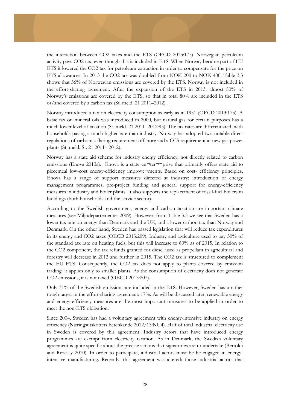the interaction between CO2 taxes and the ETS (OECD 2013:175). Norwegian petroleum activity pays CO2 tax, even though this is included in ETS. When Norway became part of EU ETS it lowered the CO2 tax for petroleum extraction in order to compensate for the price on ETS allowances. In 2013 the CO2 tax was doubled from NOK 200 to NOK 400. Table 3.3 shows that 36% of Norwegian emissions are covered by the ETS. Norway is not included in the effort-sharing agreement. After the expansion of the ETS in 2013, almost 50% of Norway's emissions are covered by the ETS, so that in total 80% are included in the ETS or/and covered by a carbon tax (St. meld. 21 2011–2012).

Norway introduced a tax on electricity consumption as early as in 1951 (OECD 2013:175). A basic tax on mineral oils was introduced in 2000, but natural gas for certain purposes has a much lower level of taxation (St. meld. 21 2011–2012:95). The tax rates are differentiated, with households paying a much higher rate than industry. Norway has adopted two notable direct regulations of carbon: a flaring requirement offshore and a CCS requirement at new gas power plants (St. meld. St. 21 2011– 2012).

Norway has a state aid scheme for industry energy efficiency, not directly related to carbon emissions (Enova 2013a). Enova is a state en $\tau$ er $\nu$ prise that primarily offers state aid to piecemeal low-cost energy-efficiency improve<sup>-</sup>ments. Based on cost- efficiency principles, Enova has a range of support measures directed at industry: introduction of energy management programmes, pre-project funding and general support for energy-efficiency measures in industry and boiler plants. It also supports the replacement of fossil-fuel boilers in buildings (both households and the service sector).

According to the Swedish government, energy and carbon taxation are important climate measures (see Miljödepartementet 2009). However, from Table 3.3 we see that Sweden has a lower tax rate on energy than Denmark and the UK, and a lower carbon tax than Norway and Denmark. On the other hand, Sweden has passed legislation that will reduce tax expenditures in its energy and CO2 taxes (OECD 2013:209). Industry and agriculture used to pay 30% of the standard tax rate on heating fuels, but this will increase to 60% as of 2015. In relation to the CO2 component, the tax refunds granted for diesel used as propellant in agricultural and forestry will decrease in 2013 and further in 2015. The CO2 tax is structured to complement the EU ETS. Consequently, the CO2 tax does not apply to plants covered by emission trading: it applies only to smaller plants. As the consumption of electricity does not generate CO2 emissions, it is not taxed (OECD 2013:207).

Only 31% of the Swedish emissions are included in the ETS. However, Sweden has a rather tough target in the effort-sharing agreement: 17%. As will be discussed later, renewable energy and energy-efficiency measures are the most important measures to be applied in order to meet the non-ETS obligation.

Since 2004, Sweden has had a voluntary agreement with energy-intensive industry on energy efficiency (Næringsutskottets betenkande 2012/13:NU4). Half of total industrial electricity use in Sweden is covered by this agreement. Industry actors that have introduced energy programmes are exempt from electricity taxation. As in Denmark, the Swedish voluntary agreement is quite specific about the precise actions that signatories are to undertake (Bertoldi and Rezessy 2010). In order to participate, industrial actors must be be engaged in energyintensive manufacturing. Recently, this agreement was altered: those industrial actors that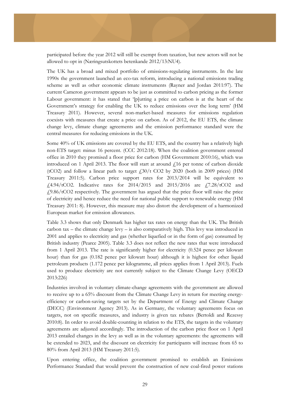participated before the year 2012 will still be exempt from taxation, but new actors will not be allowed to opt in (Næringsutskottets betenkande 2012/13:NU4).

The UK has a broad and mixed portfolio of emissions-regulating instruments. In the late 1990s the government launched an eco-tax reform, introducing a national emissions trading scheme as well as other economic climate instruments (Rayner and Jordan 2011:97). The current Cameron government appears to be just as committed to carbon pricing as the former Labour government: it has stated that '[p]utting a price on carbon is at the heart of the Government's strategy for enabling the UK to reduce emissions over the long term' (HM Treasury 2011). However, several non-market-based measures for emissions regulation coexists with measures that create a price on carbon. As of 2012, the EU ETS, the climate change levy, climate change agreements and the emission performance standard were the central measures for reducing emissions in the UK.

Some 40% of UK emissions are covered by the EU ETS, and the country has a relatively high non-ETS target: minus 16 percent. (CCC 2012:18). When the coalition government entered office in 2010 they promised a floor price for carbon (HM Government 2010:16), which was introduced on 1 April 2013. The floor will start at around  $f$ 16 per tonne of carbon dioxide (tCO2) and follow a linear path to target  $\frac{1}{2}30/t$  CO2 by 2020 (both in 2009 prices) (HM Treasury 2011:5). Carbon price support rates for 2013/2014 will be equivalent to  $f4.94/tCO2$ . Indicative rates for 2014/2015 and 2015/2016 are  $f7.28/tCO2$  and  $\frac{19.86}{\text{tCO2}}$  respectively. The government has argued that the price floor will raise the price of electricity and hence reduce the need for national public support to renewable energy (HM Treasury 2011: 8). However, this measure may also distort the development of a harmonized European market for emission allowances.

Table 3.3 shows that only Denmark has higher tax rates on energy than the UK. The British carbon tax – the climate change levy – is also comparatively high. This levy was introduced in 2001 and applies to electricity and gas (whether liquefied or in the form of gas) consumed by British industry (Pearce 2005). Table 3.3 does not reflect the new rates that were introduced from 1 April 2013. The rate is significantly higher for electricity (0.524 pence per kilowatt hour) than for gas (0.182 pence per kilowatt hour) although it is highest for other liquid petroleum products (1.172 pence per kilogramme, all prices applies from 1 April 2013). Fuels used to produce electricity are not currently subject to the Climate Change Levy (OECD 2013:226)

Industries involved in voluntary climate-change agreements with the government are allowed to receive up to a 65% discount from the Climate Change Levy in return for meeting energyefficiency or carbon-saving targets set by the Department of Energy and Climate Change (DECC) (Environment Agency 2013). As in Germany, the voluntary agreements focus on targets, not on specific measures, and industry is given tax rebates (Bertoldi and Rezessy 2010:8). In order to avoid double-counting in relation to the ETS, the targets in the voluntary agreements are adjusted accordingly. The introduction of the carbon price floor on 1 April 2013 entailed changes in the levy as well as in the voluntary agreements: the agreements will be extended to 2023, and the discount on electricity for participants will increase from 65 to 80% from April 2013 (HM Treasury 2011:5).

Upon entering office, the coalition government promised to establish an Emissions Performance Standard that would prevent the construction of new coal-fired power stations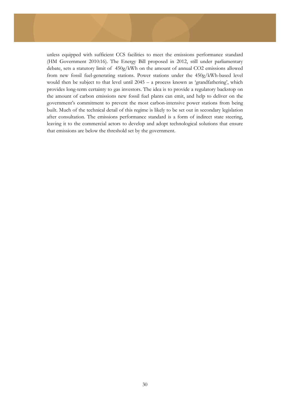unless equipped with sufficient CCS facilities to meet the emissions performance standard (HM Government 2010:16). The Energy Bill proposed in 2012, still under parliamentary debate, sets a statutory limit of 450g/kWh on the amount of annual CO2 emissions allowed from new fossil fuel-generating stations. Power stations under the 450g/kWh-based level would then be subject to that level until 2045 – a process known as 'grandfathering', which provides long-term certainty to gas investors. The idea is to provide a regulatory backstop on the amount of carbon emissions new fossil fuel plants can emit, and help to deliver on the government's commitment to prevent the most carbon-intensive power stations from being built. Much of the technical detail of this regime is likely to be set out in secondary legislation after consultation. The emissions performance standard is a form of indirect state steering, leaving it to the commercial actors to develop and adopt technological solutions that ensure that emissions are below the threshold set by the government.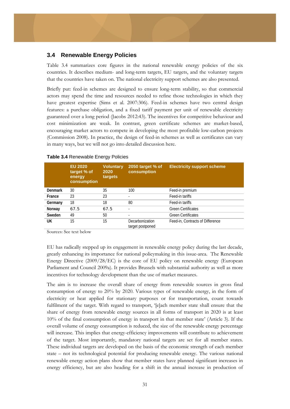#### <span id="page-31-0"></span>**3.4 Renewable Energy Policies**

Table 3.4 summarizes core figures in the national renewable energy policies of the six countries. It describes medium- and long-term targets, EU targets, and the voluntary targets that the countries have taken on. The national electricity support schemes are also presented.

Briefly put: feed-in schemes are designed to ensure long-term stability, so that commercial actors may spend the time and resources needed to refine those technologies in which they have greatest expertise (Sims et al. 2007:306). Feed-in schemes have two central design features: a purchase obligation, and a fixed tariff payment per unit of renewable electricity guaranteed over a long period (Jacobs 2012:43). The incentives for competitive behaviour and cost minimization are weak. In contrast, green certificate schemes are market-based, encouraging market actors to compete in developing the most profitable low-carbon projects (Commission 2008). In practice, the design of feed-in schemes as well as certificates can vary in many ways, but we will not go into detailed discussion here.

|                | <b>EU 2020</b><br>target % of<br>energy<br>consumption | <b>Voluntary</b><br>2020<br>targets | 2050 target % of<br>consumption     | <b>Electricity support scheme</b> |
|----------------|--------------------------------------------------------|-------------------------------------|-------------------------------------|-----------------------------------|
| <b>Denmark</b> | 30                                                     | 35                                  | 100                                 | Feed-in premium                   |
| France         | 23                                                     | 23                                  | ٠                                   | Feed-in tariffs                   |
| Germany        | 18                                                     | 18                                  | 80                                  | Feed-in tariffs                   |
| Norway         | 67.5                                                   | 67.5                                | ٠                                   | <b>Green Certificates</b>         |
| Sweden         | 49                                                     | 50                                  | ٠                                   | <b>Green Certificates</b>         |
| UК             | 15                                                     | 15                                  | Decarbonization<br>target postponed | Feed-in, Contracts of Difference  |

#### **Table 3.4** Renewable Energy Policies

Sources: See text below

EU has radically stepped up its engagement in renewable energy policy during the last decade, greatly enhancing its importance for national policymaking in this issue-area. The Renewable Energy Directive (2009/28/EC) is the core of EU policy on renewable energy (European Parliament and Council 2009a). It provides Brussels with substantial authority as well as more incentives for technology development than the use of market measures.

The aim is to increase the overall share of energy from renewable sources in gross final consumption of energy to 20% by 2020. Various types of renewable energy, in the form of electricity or heat applied for stationary purposes or for transportation, count towards fulfilment of the target. With regard to transport, '[e]ach member state shall ensure that the share of energy from renewable energy sources in all forms of transport in 2020 is at least 10% of the final consumption of energy in transport in that member state' (Article 3). If the overall volume of energy consumption is reduced, the size of the renewable energy percentage will increase. This implies that energy-efficiency improvements will contribute to achievement of the target. Most importantly, mandatory national targets are set for all member states. These individual targets are developed on the basis of the economic strength of each member state – not its technological potential for producing renewable energy. The various national renewable energy action plans show that member states have planned significant increases in energy efficiency, but are also heading for a shift in the annual increase in production of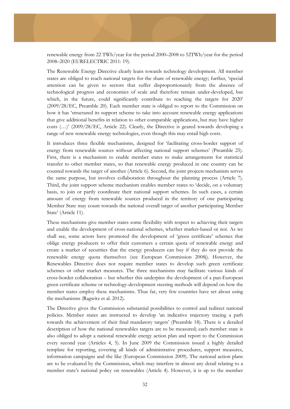renewable energy from 22 TWh/year for the period 2000–2008 to 52TWh/year for the period 2008–2020 (EURELECTRIC 2011: 19).

The Renewable Energy Directive clearly leans towards technology development. All member states are obliged to reach national targets for the share of renewable energy; further, 'special attention can be given to sectors that suffer disproportionately from the absence of technological progress and economies of scale and therefore remain under-developed, but which, in the future, could significantly contribute to reaching the targets for 2020' (2009/28/EC, Preamble 20). Each member state is obliged to report to the Commission on how it has 'structured its support scheme to take into account renewable energy applications that give additional benefits in relation to other comparable applications, but may have higher costs  $(...)$  (2009/28/EC, Article 22). Clearly, the Directive is geared towards developing a range of new renewable energy technologies, even though this may entail high costs.

It introduces three flexible mechanisms, designed for 'facilitating cross-border support of energy from renewable sources without affecting national support schemes' (Preamble 25). First, there is a mechanism to enable member states to make arrangements for statistical transfer to other member states, so that renewable energy produced in one country can be counted towards the target of another (Article 6). Second, the joint projects mechanism serves the same purpose, but involves collaboration throughout the planning process (Article 7). Third, the joint support scheme mechanism enables member states to 'decide, on a voluntary basis, to join or partly coordinate their national support schemes. In such cases, a certain amount of energy from renewable sources produced in the territory of one participating Member State may count towards the national overall target of another participating Member State' (Article 11).

These mechanisms give member states some flexibility with respect to achieving their targets and enable the development of cross-national schemes, whether market-based or not. As we shall see, some actors have promoted the development of 'green certificate' schemes that oblige energy producers to offer their customers a certain quota of renewable energy and create a market of securities that the energy producers can buy if they do not provide the renewable energy quota themselves (see European Commission 2008j). However, the Renewables Directive does not require member states to develop such green certificate schemes or other market measures. The three mechanisms may facilitate various kinds of cross-border collaboration – but whether this underpins the development of a pan-European green certificate scheme or technology-development steering methods will depend on how the member states employ these mechanisms. Thus far, very few countries have set about using the mechanisms (Ragwitz et al. 2012).

The Directive gives the Commission substantial possibilities to control and redirect national policies. Member states are instructed to develop 'an indicative trajectory tracing a path towards the achievement of their final mandatory targets' (Preamble 18). There is a detailed description of how the national renewables targets are to be measured; each member state is also obliged to adopt a national renewable energy action plan and report to the Commission every second year (Articles 4, 5). In June 2009 the Commission issued a highly detailed template for reporting, covering all kinds of administrative procedures, support measures, information campaigns and the like (European Commission 2009). The national action plans are to be evaluated by the Commission, which may interfere in almost any detail relating to a member state's national policy on renewables (Article 4). However, it is up to the member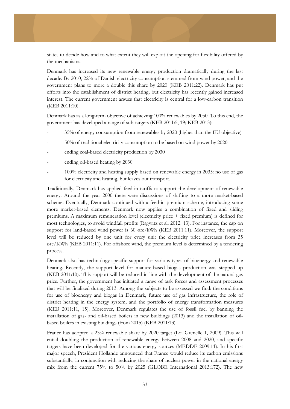states to decide how and to what extent they will exploit the opening for flexibility offered by the mechanisms.

Denmark has increased its new renewable energy production dramatically during the last decade. By 2010, 22% of Danish electricity consumption stemmed from wind power, and the government plans to more a double this share by 2020 (KEB 2011:22). Denmark has put efforts into the establishment of district heating, but electricity has recently gained increased interest. The current government argues that electricity is central for a low-carbon transition (KEB 2011:10).

Denmark has as a long-term objective of achieving 100% renewables by 2050. To this end, the government has developed a range of sub-targets (KEB 2011:5, 19; KEB 2013):

- 35% of energy consumption from renewables by 2020 (higher than the EU objective)
- 50% of traditional electricity consumption to be based on wind power by 2020
- ending coal-based electricity production by 2030
- ending oil-based heating by 2030
- 100% electricity and heating supply based on renewable energy in 2035: no use of gas for electricity and heating, but leaves out transport.

Traditionally, Denmark has applied feed-in tariffs to support the development of renewable energy. Around the year 2000 there were discussions of shifting to a more market-based scheme. Eventually, Denmark continued with a feed-in premium scheme, introducing some more market-based elements. Denmark now applies a combination of fixed and sliding premiums. A maximum remuneration level (electricity price + fixed premium) is defined for most technologies, to avoid windfall profits (Ragwitz et al. 2012: 13). For instance, the cap on support for land-based wind power is 60 øre/kWh (KEB 2011:11). Moreover, the support level will be reduced by one unit for every unit the electricity price increases from 35 øre/KWh (KEB 2011:11). For offshore wind, the premium level is determined by a tendering process.

Denmark also has technology-specific support for various types of bioenergy and renewable heating. Recently, the support level for manure-based biogas production was stepped up (KEB 2011:10). This support will be reduced in line with the development of the natural gas price. Further, the government has initiated a range of task forces and assessment processes that will be finalized during 2013. Among the subjects to be assessed we find: the conditions for use of bioenergy and biogas in Denmark, future use of gas infrastructure, the role of district heating in the energy system, and the portfolio of energy transformation measures (KEB 2011:11, 15). Moreover, Denmark regulates the use of fossil fuel by banning the installation of gas- and oil-based boilers in new buildings (2013) and the installation of oilbased boilers in existing buildings (from 2015) (KEB 2011:13).

France has adopted a 23% renewable share by 2020 target (Loi Grenelle 1, 2009). This will entail doubling the production of renewable energy between 2008 and 2020, and specific targets have been developed for the various energy sources (MEDDE 2009:11). In his first major speech, President Hollande announced that France would reduce its carbon emissions substantially, in conjunction with reducing the share of nuclear power in the national energy mix from the current 75% to 50% by 2025 (GLOBE International 2013:172). The new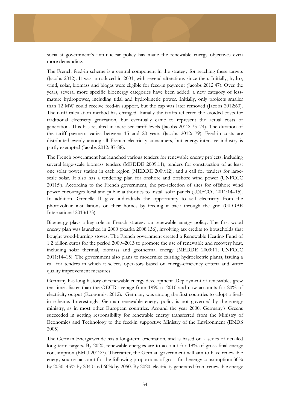socialist government's anti-nuclear policy has made the renewable energy objectives even more demanding.

The French feed-in scheme is a central component in the strategy for reaching these targets (Jacobs 2012). It was introduced in 2001, with several alterations since then. Initially, hydro, wind, solar, biomass and biogas were eligible for feed-in payment (Jacobs 2012:47). Over the years, several more specific bioenergy categories have been added: a new category of lessmature hydropower, including tidal and hydrokinetic power. Initially, only projects smaller than 12 MW could receive feed-in support, but the cap was later removed (Jacobs 2012:60). The tariff calculation method has changed. Initially the tariffs reflected the avoided costs for traditional electricity generation, but eventually came to represent the actual costs of generation. This has resulted in increased tariff levels (Jacobs 2012: 73–74). The duration of the tariff payment varies between 15 and 20 years (Jacobs 2012: 79). Feed-in costs are distributed evenly among all French electricity consumers, but energy-intensive industry is partly exempted (Jacobs 2012: 87-88).

The French government has launched various tenders for renewable energy projects, including several large-scale biomass tenders (MEDDE 2009:11), tenders for construction of at least one solar power station in each region (MEDDE 2009:12), and a call for tenders for largescale solar. It also has a tendering plan for onshore and offshore wind power (UNFCCC 2011:9). According to the French government, the pre-selection of sites for offshore wind power encourages local and public authorities to install solar panels (UNFCCC 2011:14–15). In addition, Grenelle II gave individuals the opportunity to sell electricity from the photovoltaic installations on their homes by feeding it back through the grid (GLOBE International 2013:173).

Bioenergy plays a key role in French strategy on renewable energy policy. The first wood energy plan was launched in 2000 (Szarka 2008:136), involving tax credits to households that bought wood-burning stoves. The French government created a Renewable Heating Fund of 1.2 billion euros for the period 2009–2013 to promote the use of renewable and recovery heat, including solar thermal, biomass and geothermal energy (MEDDE 2009:11; UNFCCC 2011:14–15). The government also plans to modernize existing hydroelectric plants, issuing a call for tenders in which it selects operators based on energy-efficiency criteria and water quality improvement measures.

Germany has long history of renewable energy development. Deployment of renewables grew ten times faster than the OECD average from 1990 to 2010 and now accounts for 20% of electricity output (Economist 2012). Germany was among the first countries to adopt a feedin scheme. Interestingly, German renewable energy policy is not governed by the energy ministry, as in most other European countries. Around the year 2000, Germany's Greens succeeded in getting responsibility for renewable energy transferred from the Ministry of Economics and Technology to the feed-in supportive Ministry of the Environment (ENDS 2005).

The German Energiewende has a long-term orientation, and is based on a series of detailed long-term targets. By 2020, renewable energies are to account for 18% of gross final energy consumption (BMU 2012:7). Thereafter, the German government will aim to have renewable energy sources account for the following proportions of gross final energy consumption: 30% by 2030, 45% by 2040 and 60% by 2050. By 2020, electricity generated from renewable energy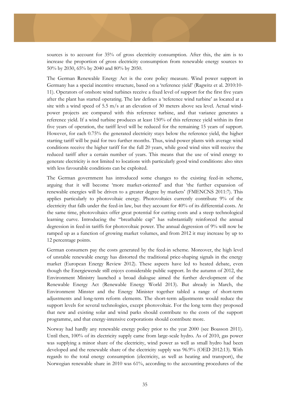sources is to account for 35% of gross electricity consumption. After this, the aim is to increase the proportion of gross electricity consumption from renewable energy sources to 50% by 2030, 65% by 2040 and 80% by 2050.

The German Renewable Energy Act is the core policy measure. Wind power support in Germany has a special incentive structure, based on a 'reference yield' (Ragwitz et al. 2010:10- 11). Operators of onshore wind turbines receive a fixed level of support for the first five years after the plant has started operating. The law defines a 'reference wind turbine' as located at a site with a wind speed of 5.5 m/s at an elevation of 30 meters above sea level. Actual windpower projects are compared with this reference turbine, and that variance generates a reference yield. If a wind turbine produces at least 150% of this reference yield within its first five years of operation, the tariff level will be reduced for the remaining 15 years of support. However, for each 0.75% the generated electricity stays below the reference yield, the higher starting tariff will be paid for two further months. Thus, wind-power plants with average wind conditions receive the higher tariff for the full 20 years, while good wind sites will receive the reduced tariff after a certain number of years. This means that the use of wind energy to generate electricity is not limited to locations with particularly good wind conditions: also sites with less favourable conditions can be exploited.

The German government has introduced some changes to the existing feed-in scheme, arguing that it will become 'more market-oriented' and that 'the further expansion of renewable energies will be driven to a greater degree by markets' (FMENCNS 2011:7). This applies particularly to photovoltaic energy. Photovoltaics currently contribute 9% of the electricity that falls under the feed-in law, but they account for 40% of its differential costs. At the same time, photovoltaics offer great potential for cutting costs and a steep technological learning curve. Introducing the "breathable cap" has substantially reinforced the annual degression in feed-in tariffs for photovoltaic power. The annual degression of 9% will now be ramped up as a function of growing market volumes, and from 2012 it may increase by up to 12 percentage points.

German consumers pay the costs generated by the feed-in scheme. Moreover, the high level of unstable renewable energy has distorted the traditional price-shaping signals in the energy market (European Energy Review 2012). These aspects have led to heated debate, even though the Energiewende still enjoys considerable public support. In the autumn of 2012, the Environment Ministry launched a broad dialogue aimed the further development of the Renewable Energy Act (Renewable Energy World 2013). But already in March, the Environment Minster and the Energy Minister together tabled a range of short-term adjustments and long-term reform elements. The short-term adjustments would reduce the support levels for several technologies, except photovoltaic. For the long term they proposed that new and existing solar and wind parks should contribute to the costs of the support programme, and that energy-intensive corporations should contribute more.

Norway had hardly any renewable energy policy prior to the year 2000 (see Boasson 2011). Until then, 100% of its electricity supply came from large-scale hydro. As of 2010, gas power was supplying a minor share of the electricity, wind power as well as small hydro had been developed and the renewable share of the electricity supply was 96.9% (OED 2012:13). With regards to the total energy consumption (electricity, as well as heating and transport), the Norwegian renewable share in 2010 was 61%, according to the accounting procedures of the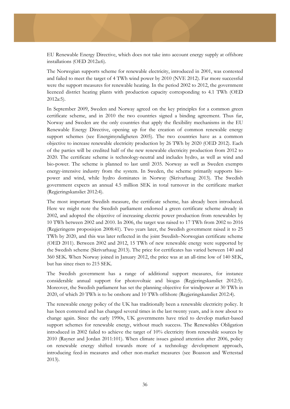EU Renewable Energy Directive, which does not take into account energy supply at offshore installations (OED 2012a:6).

The Norwegian supports scheme for renewable electricity, introduced in 2001, was contested and failed to meet the target of 4 TWh wind power by 2010 (NVE 2012). Far more successful were the support measures for renewable heating. In the period 2002 to 2012, the government licenced district heating plants with production capacity corresponding to 4.1 TWh (OED 2012a:5).

In September 2009, Sweden and Norway agreed on the key principles for a common green certificate scheme, and in 2010 the two countries signed a binding agreement. Thus far, Norway and Sweden are the only countries that apply the flexibility mechanisms in the EU Renewable Energy Directive, opening up for the creation of common renewable energy support schemes (see Energimyndigheten 2005). The two countries have as a common objective to increase renewable electricity production by 26 TWh by 2020 (OED 2012). Each of the parties will be credited half of the new renewable electricity production from 2012 to 2020. The certificate scheme is technology-neutral and includes hydro, as well as wind and bio-power. The scheme is planned to last until 2035. Norway as well as Sweden exempts energy-intensive industry from the system. In Sweden, the scheme primarily supports biopower and wind, while hydro dominates in Norway (Skrivarhaug 2013). The Swedish government expects an annual 4.5 million SEK in total turnover in the certificate market (Regjeringskansliet 2012:4).

The most important Swedish measure, the certificate scheme, has already been introduced. Here we might note the Swedish parliament endorsed a green certificate scheme already in 2002, and adopted the objective of increasing electric power production from renewables by 10 TWh between 2002 and 2010. In 2006, the target was raised to 17 TWh from 2002 to 2016 (Regjeringens proposisjon 2008:41). Two years later, the Swedish government raised it to 25 TWh by 2020, and this was later reflected in the joint Swedish–Norwegian certificate scheme (OED 2011). Between 2002 and 2012, 15 TWh of new renewable energy were supported by the Swedish scheme (Skrivarhaug 2013). The price for certificates has varied between 140 and 360 SEK. When Norway joined in January 2012, the price was at an all-time low of 140 SEK, but has since risen to 215 SEK.

The Swedish government has a range of additional support measures, for instance considerable annual support for photovoltaic and biogas (Regjeringskansliet 2012:5). Moreover, the Swedish parliament has set the planning objective for windpower at 30 TWh in 2020, of which 20 TWh is to be onshore and 10 TWh offshore (Regjeringskansliet 2012:4).

The renewable energy policy of the UK has traditionally been a renewable electricity policy. It has been contested and has changed several times in the last twenty years, and is now about to change again. Since the early 1990s, UK governments have tried to develop market-based support schemes for renewable energy, without much success. The Renewables Obligation introduced in 2002 failed to achieve the target of 10% electricity from renewable sources by 2010 (Rayner and Jordan 2011:101). When climate issues gained attention after 2006, policy on renewable energy shifted towards more of a technology development approach, introducing feed-in measures and other non-market measures (see Boasson and Wettestad 2013).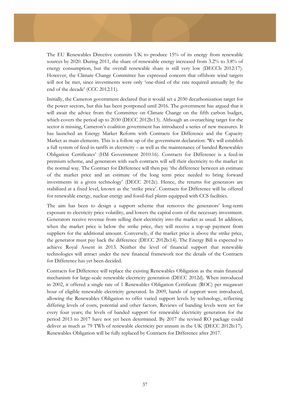The EU Renewables Directive commits UK to produce 15% of its energy from renewable sources by 2020. During 2011, the share of renewable energy increased from 3.2% to 3.8% of energy consumption, but the overall renewable share is still very low (DECCb 2012:17). However, the Climate Change Committee has expressed concern that offshore wind targets will not be met, since investments were only 'one-third of the rate required annually by the end of the decade' (CCC 2012:11).

Initially, the Cameron government declared that it would set a 2030 decarbonization target for the power sectors, but this has been postponed until 2016. The government has argued that it will await the advice from the Committee on Climate Change on the fifth carbon budget, which covers the period up to 2030 (DECC 2012b:13). Although an overarching target for the sector is missing, Cameron's coalition government has introduced a series of new measures. It has launched an Energy Market Reform with Contracts for Difference and the Capacity Market as main elements. This is a follow up of the government declaration: 'We will establish a full system of feed-in tariffs in electricity – as well as the maintenance of banded Renewables Obligation Certificates' (HM Government 2010:16). Contracts for Difference is a feed-in premium scheme, and generators with such contracts will sell their electricity to the market in the normal way. The Contract for Difference will then pay 'the difference between an estimate of the market price and an estimate of the long term price needed to bring forward investments in a given technology' (DECC 2012c). Hence, the returns for generators are stabilized at a fixed level, known as the 'strike price'. Contracts for Difference will be offered for renewable energy, nuclear energy and fossil-fuel plants equipped with CCS facilities.

The aim has been to design a support scheme that removes the generators' long-term exposure to electricity price volatility, and lowers the capital costs of the necessary investment. Generators receive revenue from selling their electricity into the market as usual. In addition, when the market price is below the strike price, they will receive a top-up payment from suppliers for the additional amount. Conversely, if the market price is above the strike price, the generator must pay back the difference (DECC 2012b:14). The Energy Bill is expected to achieve Royal Assent in 2013. Neither the level of financial support that renewable technologies will attract under the new financial framework nor the details of the Contracts for Difference has yet been decided.

Contracts for Difference will replace the existing Renewables Obligation as the main financial mechanism for large-scale renewable electricity generation (DECC 2012d). When introduced in 2002, it offered a single rate of 1 Renewables Obligation Certificate (ROC) per megawatt hour of eligible renewable electricity generated. In 2009, bands of support were introduced, allowing the Renewables Obligation to offer varied support levels by technology, reflecting differing levels of costs, potential and other factors. Reviews of banding levels were set for every four years; the levels of banded support for renewable electricity generation for the period 2013 to 2017 have not yet been determined. By 2017 the revised RO package could deliver as much as 79 TWh of renewable electricity per annum in the UK (DECC 2012b:17). Renewables Obligation will be fully replaced by Contracts for Difference after 2017.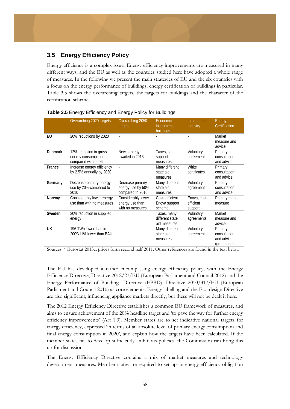#### <span id="page-38-0"></span>**3.5 Energy Efficiency Policy**

Energy efficiency is a complex issue. Energy efficiency improvements are measured in many different ways, and the EU as well as the countries studied here have adopted a whole range of measures. In the following we present the main strategies of EU and the six countries with a focus on the energy performance of buildings, energy certification of buildings in particular. Table 3.5 shows the overarching targets, the targets for buildings and the character of the certification schemes.

|                | Overarching 2020 targets                                           | Overarching 2050<br>targets                               | <b>Economic</b><br>instruments,<br>buildings    | Instruments,<br>industry             | Energy<br>Certification                               |
|----------------|--------------------------------------------------------------------|-----------------------------------------------------------|-------------------------------------------------|--------------------------------------|-------------------------------------------------------|
| EU             | 20% reductions by 2020                                             |                                                           |                                                 |                                      | Market<br>measure and<br>advice                       |
| <b>Denmark</b> | 12% reduction in gross<br>energy consumption<br>compared with 2006 | New strategy<br>awaited in 2013                           | Taxes, some<br>support<br>measures,             | Voluntary<br>agreement               | Primary<br>consultation<br>and advice                 |
| France         | Increase energy efficiency<br>by 2.5% annually by 2030             |                                                           | Many different<br>state aid<br>measures         | White<br>certificates                | Primary<br>consultation<br>and advice                 |
| Germany        | Decrease primary energy<br>use by 20% compared to<br>2010          | Decrease primary<br>energy use by 50%<br>compared to 2010 | Many different<br>state aid<br>measures         | Voluntary<br>agreement               | Primary<br>consultation<br>and advice                 |
| Norway         | Considerably lower energy<br>use than with no measures             | Considerably lower<br>energy use than<br>with no measures | Cost-efficient<br>Enova support<br>scheme       | Enova, cost-<br>efficient<br>support | Primary market<br>measure                             |
| Sweden         | 20% reduction in supplied<br>energy                                |                                                           | Taxes, many<br>different state<br>aid measures, | Voluntary<br>agreements              | Market<br>measure and<br>advice                       |
| UK             | 196 TWh lower than in<br>2009/11% lower than BAU                   |                                                           | Many different<br>state aid<br>measures         | Voluntary<br>agreements              | Primary<br>consultation<br>and advice<br>(green deal) |

#### **Table 3.5** Energy Efficiency and Energy Policy for Buildings

Sources: \* Eurostat 2013c, prices form second half 2011. Other references are found in the text below.

The EU has developed a rather encompassing energy efficiency policy, with the Energy Efficiency Directive, Directive 2012/27/EU (European Parliament and Council 2012) and the Energy Performance of Buildings Directive (EPBD), Directive 2010/317/EU (European Parliament and Council 2010) as core elements. Energy labelling and the Eco-design Directive are also significant, influencing appliance markets directly, but these will not be dealt it here.

The 2012 Energy Efficiency Directive establishes a common EU framework of measures, and aims to ensure achievement of the 20% headline target and 'to pave the way for further energy efficiency improvements' (Art 1.3). Member states are to set indicative national targets for energy efficiency, expressed 'in terms of an absolute level of primary energy consumption and final energy consumption in 2020', and explain how the targets have been calculated. If the member states fail to develop sufficiently ambitious policies, the Commission can bring this up for discussion.

The Energy Efficiency Directive contains a mix of market measures and technology development measures. Member states are required to set up an energy-efficiency obligation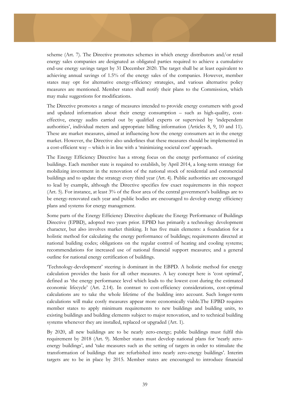scheme (Art. 7). The Directive promotes schemes in which energy distributors and/or retail energy sales companies are designated as obligated parties required to achieve a cumulative end-use energy savings target by 31 December 2020. The target shall be at least equivalent to achieving annual savings of 1.5% of the energy sales of the companies. However, member states may opt for alternative energy-efficiency strategies, and various alternative policy measures are mentioned. Member states shall notify their plans to the Commission, which may make suggestions for modifications.

The Directive promotes a range of measures intended to provide energy costumers with good and updated information about their energy consumption – such as high-quality, costeffective, energy audits carried out by qualified experts or supervised by 'independent authorities', individual meters and appropriate billing information (Articles 8, 9, 10 and 11). These are market measures, aimed at influencing how the energy consumers act in the energy market. However, the Directive also underlines that these measures should be implemented in a cost-efficient way – which is in line with a 'minimizing societal cost' approach.

The Energy Efficiency Directive has a strong focus on the energy performance of existing buildings. Each member state is required to establish, by April 2014, a long-term strategy for mobilizing investment in the renovation of the national stock of residential and commercial buildings and to update the strategy every third year (Art. 4). Public authorities are encouraged to lead by example, although the Directive specifies few exact requirements in this respect (Art. 5). For instance, at least 3% of the floor area of the central government's buildings are to be energy-renovated each year and public bodies are encouraged to develop energy efficiency plans and systems for energy management.

Some parts of the Energy Efficiency Directive duplicate the Energy Performance of Buildings Directive (EPBD), adopted two years prior. EPBD has primarily a technology development character, but also involves market thinking. It has five main elements: a foundation for a holistic method for calculating the energy performance of buildings; requirements directed at national building codes; obligations on the regular control of heating and cooling systems; recommendations for increased use of national financial support measures; and a general outline for national energy certification of buildings.

'Technology-development' steering is dominant in the EBPD. A holistic method for energy calculation provides the basis for all other measures. A key concept here is 'cost optimal', defined as 'the energy performance level which leads to the lowest cost during the estimated economic lifecycle' (Art. 2.14). In contrast to cost-efficiency considerations, cost-optimal calculations are to take the whole lifetime of the building into account. Such longer-term calculations will make costly measures appear more economically viable.The EPBD requires member states to apply minimum requirements to new buildings and building units, to existing buildings and building elements subject to major renovation, and to technical building systems whenever they are installed, replaced or upgraded (Art. 1).

By 2020, all new buildings are to be nearly zero-energy; public buildings must fulfil this requirement by 2018 (Art. 9). Member states must develop national plans for 'nearly zeroenergy buildings', and 'take measures such as the setting of targets in order to stimulate the transformation of buildings that are refurbished into nearly zero-energy buildings'. Interim targets are to be in place by 2015. Member states are encouraged to introduce financial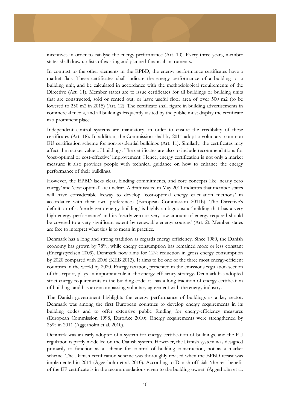incentives in order to catalyse the energy performance (Art. 10). Every three years, member states shall draw up lists of existing and planned financial instruments.

In contrast to the other elements in the EPBD, the energy performance certificates have a market flair. These certificates shall indicate the energy performance of a building or a building unit, and be calculated in accordance with the methodological requirements of the Directive (Art. 11). Member states are to issue certificates for all buildings or building units that are constructed, sold or rented out, or have useful floor area of over 500 m2 (to be lowered to 250 m2 in 2015) (Art. 12). The certificate shall figure in building advertisements in commercial media, and all buildings frequently visited by the public must display the certificate in a prominent place.

Independent control systems are mandatory, in order to ensure the credibility of these certificates (Art. 18). In addition, the Commission shall by 2011 adopt a voluntary, common EU certification scheme for non-residential buildings (Art. 11). Similarly, the certificates may affect the market value of buildings. The certificates are also to include recommendations for 'cost-optimal or cost-effective' improvement. Hence, energy certification is not only a market measure: it also provides people with technical guidance on how to enhance the energy performance of their buildings.

However, the EPBD lacks clear, binding commitments, and core concepts like 'nearly zero energy' and 'cost optimal' are unclear. A draft issued in May 2011 indicates that member states will have considerable leeway to develop 'cost-optimal energy calculation methods' in accordance with their own preferences (European Commission 2011b). The Directive's definition of a 'nearly zero energy building' is highly ambiguous: a 'building that has a very high energy performance' and its 'nearly zero or very low amount of energy required should be covered to a very significant extent by renewable energy sources' (Art. 2). Member states are free to interpret what this is to mean in practice.

Denmark has a long and strong tradition as regards energy efficiency. Since 1980, the Danish economy has grown by 78%, while energy consumption has remained more or less constant (Energistyrelsen 2009). Denmark now aims for 12% reduction in gross energy consumption by 2020 compared with 2006 (KEB 2013). It aims to be one of the three most energy-efficient countries in the world by 2020. Energy taxation, presented in the emissions regulation section of this report, plays an important role in the energy-efficiency strategy. Denmark has adopted strict energy requirements in the building code; it has a long tradition of energy certification of buildings and has an encompassing voluntary agreement with the energy industry.

The Danish government highlights the energy performance of buildings as a key sector. Denmark was among the first European countries to develop energy requirements in its building codes and to offer extensive public funding for energy-efficiency measures (European Commission 1998, EuroAce 2010). Energy requirements were strengthened by 25% in 2011 (Aggerholm et al. 2010).

Denmark was an early adopter of a system for energy certification of buildings, and the EU regulation is partly modelled on the Danish system. However, the Danish system was designed primarily to function as a scheme for control of building construction, not as a market scheme. The Danish certification scheme was thoroughly revised when the EPBD recast was implemented in 2011 (Aggerholm et al. 2010). According to Danish officials 'the real benefit of the EP certificate is in the recommendations given to the building owner' (Aggerholm et al.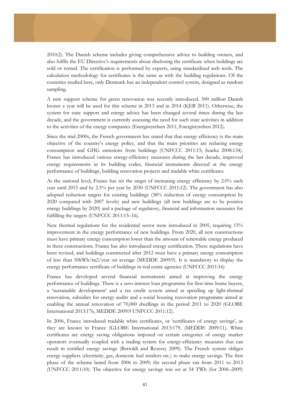2010:2). The Danish scheme includes giving comprehensive advice to building owners, and also fulfils the EU Directive's requirements about disclosing the certificate when buildings are sold or rented. The certification is performed by experts, using standardized web tools. The calculation methodology for certificates is the same as with the building regulations. Of the countries studied here, only Denmark has an independent control system, designed as random sampling.

A new support scheme for green renovation was recently introduced. 500 million Danish kroner a year will be used for this scheme in 2013 and in 2014 (KEB 2011). Otherwise, the system for state support and energy advice has been changed several times during the last decade, and the government is currently assessing the need for such state activities in addition to the activities of the energy companies (Energistyrelsen 2011, Energistyrelsen 2012).

Since the mid-2000s, the French government has stated that that energy efficiency is the main objective of the country's energy policy, and that the main priorities are reducing energy consumption and GHG emissions from buildings (UNFCCC 2011:15; Szarka 2008:134). France has introduced various energy-efficiency measures during the last decade, improved energy requirements in its building codes, financial instruments directed at the energy performance of buildings, building renovation projects and tradable white certificates.

At the national level, France has set the target of increasing energy efficiency by 2.0% each year until 2015 and by 2.5% per year by 2030 (UNFCCC 2011:12). The government has also adopted reduction targets for existing buildings (38% reduction of energy consumption by 2020 compared with 2007 levels) and new buildings (all new buildings are to be positive energy buildings by 2020) and a package of regulatory, financial and information measures for fulfilling the targets (UNFCCC 2011:15–16).

New thermal regulations for the residential sector were introduced in 2005, requiring 15% improvement in the energy performance of new buildings. From 2020, all new constructions must have primary energy consumption lower than the amount of renewable energy produced in these constructions. France has also introduced energy certification. These regulations have been revised, and buildings constructed after 2012 must have a primary energy consumption of less than 50kWh/m2/year on average (MEDDE 2009:9). It is mandatory to display the energy performance certificate of buildings in real estate agencies (UNFCCC 2011:16)

France has developed several financial instruments aimed at improving the energy performance of buildings. There is a zero-interest loan programme for first-time home buyers, a 'sustainable development' and a tax credit system aimed at speeding up light-thermal renovation, subsidies for energy audits and a social housing renovation programme aimed at enabling the annual renovation of 70,000 dwellings in the period 2011 to 2020 (GLOBE International 2013:176, MEDDE 2009:9 UNFCCC 2011:12).

In 2006, France introduced tradable white certificates, or 'certificates of energy savings', as they are known in France (GLOBE International 2013:179, (MEDDE 2009:11). White certificates are energy saving obligations imposed on certain categories of energy market operators eventually coupled with a trading system for energy-efficiency measures that can result in certified energy savings (Bertoldi and Rezessy 2009). The French system obliges energy suppliers (electricity, gas, domestic fuel retailers etc.) to make energy savings. The first phase of the scheme lasted from 2006 to 2009; the second phase ran from 2011 to 2013 (UNFCCC 2011:10). The objective for energy savings was set at 54 TWh (for 2006–2009)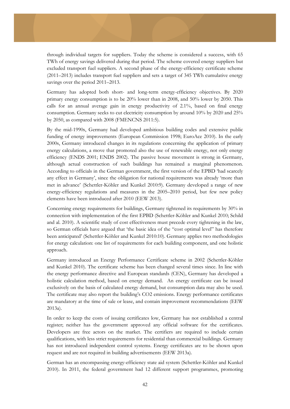through individual targets for suppliers. Today the scheme is considered a success, with 65 TWh of energy savings delivered during that period. The scheme covered energy suppliers but excluded transport fuel suppliers. A second phase of the energy-efficiency certificate scheme (2011–2013) includes transport fuel suppliers and sets a target of 345 TWh cumulative energy savings over the period 2011–2013.

Germany has adopted both short- and long-term energy-efficiency objectives. By 2020 primary energy consumption is to be 20% lower than in 2008, and 50% lower by 2050. This calls for an annual average gain in energy productivity of 2.1%, based on final energy consumption. Germany seeks to cut electricity consumption by around 10% by 2020 and 25% by 2050, as compared with 2008 (FMENCNS 2011:5).

By the mid-1990s, Germany had developed ambitious building codes and extensive public funding of energy improvements (European Commission 1998; EuroAce 2010). In the early 2000s, Germany introduced changes in its regulations concerning the application of primary energy calculations, a move that promoted also the use of renewable energy, not only energy efficiency (ENDS 2001; ENDS 2002). The passive house movement is strong in Germany, although actual construction of such buildings has remained a marginal phenomenon. According to officials in the German government, the first version of the EPBD 'had scarcely any effect in Germany', since the obligation for national requirements was already 'more than met in advance' (Schettler-Köhler and Kunkel 2010:9). Germany developed a range of new energy-efficiency regulations and measures in the 2005–2010 period, but few new policy elements have been introduced after 2010 (EEW 2013).

Concerning energy requirements for buildings, Germany tightened its requirements by 30% in connection with implementation of the first EPBD (Schettler-Köhler and Kunkel 2010; Schild and al. 2010). A scientific study of cost effectiveness must precede every tightening in the law, so German officials have argued that 'the basic idea of the "cost optimal level" has therefore been anticipated' (Schettler-Köhler and Kunkel 2010:10). Germany applies two methodologies for energy calculation: one list of requirements for each building component, and one holistic approach.

Germany introduced an Energy Performance Certificate scheme in 2002 (Schettler-Köhler and Kunkel 2010). The certificate scheme has been changed several times since. In line with the energy performance directive and European standards (CEN), Germany has developed a holistic calculation method, based on energy demand. An energy certificate can be issued exclusively on the basis of calculated energy demand, but consumption data may also be used. The certificate may also report the building's CO2 emissions. Energy performance certificates are mandatory at the time of sale or lease, and contain improvement recommendations (EEW 2013a).

In order to keep the costs of issuing certificates low, Germany has not established a central register; neither has the government approved any official software for the certificates. Developers are free actors on the market. The certifiers are required to include certain qualifications, with less strict requirements for residential than commercial buildings. Germany has not introduced independent control systems. Energy certificates are to be shown upon request and are not required in building advertisements (EEW 2013a).

German has an encompassing energy-efficiency state aid system (Schettler-Köhler and Kunkel 2010). In 2011, the federal government had 12 different support programmes, promoting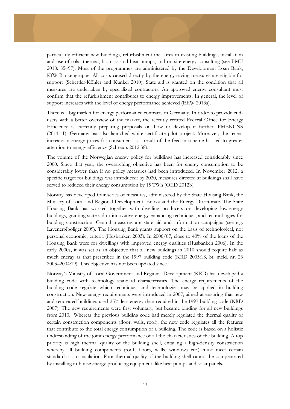particularly efficient new buildings, refurbishment measures in existing buildings, installation and use of solar-thermal, biomass and heat pumps, and on-site energy consulting (see BMU 2010: 85–97). Most of the programmes are administered by the Development Loan Bank, KfW Bankengruppe. All costs caused directly by the energy-saving measures are eligible for support (Schettler-Köhler and Kunkel 2010). State aid is granted on the condition that all measures are undertaken by specialized contractors. An approved energy consultant must confirm that the refurbishment contributes to energy improvements. In general, the level of support increases with the level of energy performance achieved (EEW 2013a).

There is a big market for energy performance contracts in Germany. In order to provide endusers with a better overview of the market, the recently created Federal Office for Energy Efficiency is currently preparing proposals on how to develop it further. FMENCNS (2011:11). Germany has also launched white certificate pilot project. Moreover, the recent increase in energy prices for consumers as a result of the feed-in scheme has led to greater attention to energy efficiency (Schreurs 2012:38).

The volume of the Norwegian energy policy for buildings has increased considerably since 2000. Since that year, the overarching objective has been for energy consumption to be considerably lower than if no policy measures had been introduced. In November 2012, a specific target for buildings was introduced: by 2020, measures directed at buildings shall have served to reduced their energy consumption by 15 TWh (OED 2012b).

Norway has developed four series of measures, administered by the State Housing Bank, the Ministry of Local and Regional Development, Enova and the Energy Directorate. The State Housing Bank has worked together with dwelling producers on developing low-energy buildings, granting state aid to innovative energy-enhancing techniques, and technol-ogies for building construction. Central measures are state aid and information campaigns (see e.g. Lavenergiboliger 2009). The Housing Bank grants support on the basis of technological, not personal economic, criteria (Husbanken 2003). In 2006/07, close to 40% of the loans of the Housing Bank were for dwellings with improved energy qualities (Husbanken 2006). In the early 2000s, it was set as an objective that all new buildings in 2010 should require half as much energy as that prescribed in the 1997 building code (KRD 2005:18, St. meld. nr. 23 2003–2004:19). This objective has not been updated since.

Norway's Ministry of Local Government and Regional Development (KRD) has developed a building code with technology standard characteristics. The energy requirements of the building code regulate which techniques and technologies may be applied in building construction. New energy requirements were introduced in 2007, aimed at ensuring that new and renovated buildings used 25% less energy than required in the 1997 building code (KRD 2007). The new requirements were first voluntary, but became binding for all new buildings from 2010. Whereas the previous building code had merely regulated the thermal quality of certain construction components (floor, walls, roof), the new code regulates all the features that contribute to the total energy consumption of a building. The code is based on a holistic understanding of the joint energy performance of all the characteristics of the building. A top priority is high thermal quality of the building shell, entailing a high-density construction whereby all building components (roof, floors, walls, windows etc.) must meet certain standards as to insulation. Poor thermal quality of the building shell cannot be compensated by installing in-house energy-producing equipment, like heat pumps and solar panels.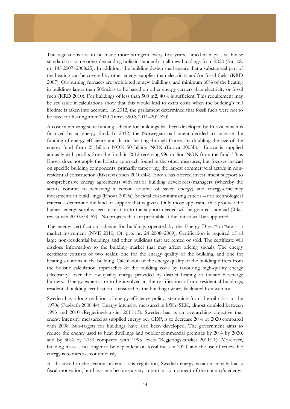The regulations are to be made more stringent every five years, aimed at a passive house standard (or some other demanding holistic standard) in all new buildings from 2020 (Innst.S. nr. 145 2007–2008:25). In addition, 'the building design shall ensure that a substan-tial part of the heating can be covered by other energy supplies than electricity and/or fossil fuels' (KRD 2007). Oil-burning furnaces are prohibited in new buildings, and minimum 60% of the heating in buildings larger than 500m2 is to be based on other energy carriers than electricity or fossil fuels (KRD 2010). For buildings of less than 500 m2, 40% is sufficient. This requirement may be set aside if calculations show that this would lead to extra costs when the building's full lifetime is taken into account. In 2012, the parliament determined that fossil fuels were not to be used for heating after 2020 (Innst. 390 S 2011–2012:20)

A cost-minimizing state funding scheme for buildings has been developed by Enova, which is financed by an energy fund. In 2012, the Norwegian parliament decided to increase the funding of energy efficiency and district heating through Enova, by doubling the size of the energy fund from 25 billion NOK 50 billion NOK (Enova 2003b). Enova is supplied annually with profits from the fund, in 2012 receiving 996 million NOK from the fund. Thus Enova does not apply the holistic approach found in the other measures, but focuses instead on specific building components, primarily target¬ing the largest commer¬cial actors in nonresidential construction (Riksrevisjonen 2010a:44). Enova has offered invest¬ment support to comprehensive energy agreements with major building developers/managers (whereby the actors commit to achieving a certain volume of saved energy) and energy-efficiency investments in build¬ings (Enova 2009a). Societal cost-minimizing criteria – not technological criteria – determine the kind of support that is given. Only those applicants that produce the highest energy surplus seen in relation to the support needed will be granted state aid (Riksrevisjonen 2010a:58–59). No projects that are profitable at the outset will be supported.

The energy certification scheme for buildings operated by the Energy Direc¬tor¬ate is a market instrument (NVE 2010; Ot. prp. nr. 24 2008–2009). Certification is required of all large non-residential buildings and other buildings that are rented or sold. The certificate will disclose information to the building market that may affect pricing signals. The energy certificate consists of two scales: one for the energy quality of the building, and one for heating solutions in the building. Calculation of the energy quality of the building differs from the holistic calculation approaches of the building code by favouring high-quality energy (electricity) over the low-quality energy provided by district heating or on-site bioenergy burners. Energy experts are to be involved in the certification of non-residential buildings; residential building certification is ensured by the building owner, facilitated by a web tool.

Sweden has a long tradition of energy-efficiency policy, stemming from the oil crisis in the 1970s (Fuglseth 2008:44). Energy intensity, measured in kWh/SEK, almost doubled between 1993 and 2010 (Regjeringskansliet 2011:13). Sweden has as an overarching objective that energy intensity, measured as supplied energy per GDP, is to decrease 20% by 2020 compared with 2008. Sub-targets for buildings have also been developed. The government aims to reduce the energy used to heat dwellings and public/commercial premises by 20% by 2020, and by 50% by 2050 compared with 1995 levels (Regjeringskansliet 2011:11). Moreover, building mass is no longer to be dependent on fossil fuels in 2020, and the use of renewable energy is to increase continuously.

As discussed in the section on emissions regulation, Swedish energy taxation initially had a fiscal motivation, but has since become a very important component of the country's energy-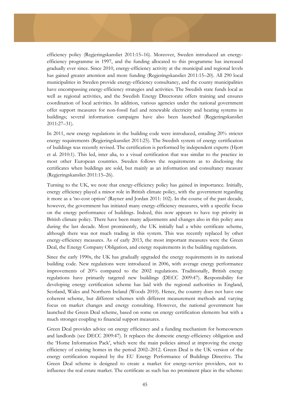efficiency policy (Regjeringskansliet 2011:15–16). Moreover, Sweden introduced an energyefficiency programme in 1997, and the funding allocated to this programme has increased gradually ever since. Since 2010, energy-efficiency activity at the municipal and regional levels has gained greater attention and more funding (Regjeringskansliet 2011:15–20). All 290 local municipalities in Sweden provide energy-efficiency consultancy, and the county municipalities have encompassing energy-efficiency strategies and activities. The Swedish state funds local as well as regional activities, and the Swedish Energy Directorate offers training and ensures coordination of local activities. In addition, various agencies under the national government offer support measures for non-fossil fuel and renewable electricity and heating systems in buildings; several information campaigns have also been launched (Regjeringskansliet 2011:27–31).

In 2011, new energy regulations in the building code were introduced, entailing 20% stricter energy requirements (Regjeringskansliet 2011:25). The Swedish system of energy certification of buildings was recently revised. The certification is performed by independent experts (Hjort et al. 2010:1). This led, inter alia, to a visual certification that was similar to the practice in most other European countries. Sweden follows the requirements as to disclosing the certificates when buildings are sold, but mainly as an information and consultancy measure (Regjeringskansliet 2011:15–26).

Turning to the UK, we note that energy-efficiency policy has gained in importance. Initially, energy efficiency played a minor role in British climate policy, with the government regarding it more as a 'no-cost option' (Rayner and Jordan 2011: 102). In the course of the past decade, however, the government has initiated many energy-efficiency measures, with a specific focus on the energy performance of buildings. Indeed, this now appears to have top priority in British climate policy. There have been many adjustments and changes also in this policy area during the last decade. Most prominently, the UK initially had a white certificate scheme, although there was not much trading in this system. This was recently replaced by other energy-efficiency measures. As of early 2013, the most important measures were the Green Deal, the Energy Company Obligation, and energy requirements in the building regulations.

Since the early 1990s, the UK has gradually upgraded the energy requirements in its national building code. New regulations were introduced in 2006, with average energy performance improvements of 20% compared to the 2002 regulations. Traditionally, British energy regulations have primarily targeted new buildings (DECC 2009:47). Responsibility for developing energy certification scheme has laid with the regional authorities in England, Scotland, Wales and Northern Ireland (Woods 2010). Hence, the country does not have one coherent scheme, but different schemes with different measurement methods and varying focus on market changes and energy consulting. However, the national government has launched the Green Deal scheme, based on some on energy certification elements but with a much stronger coupling to financial support measures.

Green Deal provides advice on energy efficiency and a funding mechanism for homeowners and landlords (see DECC 2009:47). It replaces the domestic energy-efficiency obligation and the 'Home Information Pack', which were the main policies aimed at improving the energy efficiency of existing homes in the period 2002–2012. Green Deal is the UK version of the energy certification required by the EU Energy Performance of Buildings Directive. The Green Deal scheme is designed to create a market for energy-service providers, not to influence the real estate market. The certificate as such has no prominent place in the scheme: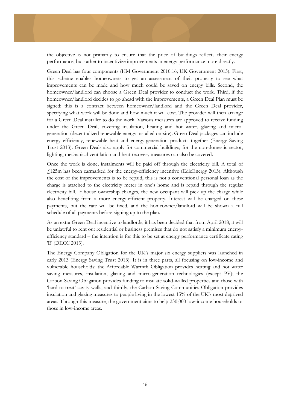the objective is not primarily to ensure that the price of buildings reflects their energy performance, but rather to incentivize improvements in energy performance more directly.

Green Deal has four components (HM Government 2010:16; UK Government 2013). First, this scheme enables homeowners to get an assessment of their property to see what improvements can be made and how much could be saved on energy bills. Second, the homeowner/landlord can choose a Green Deal provider to conduct the work. Third, if the homeowner/landlord decides to go ahead with the improvements, a Green Deal Plan must be signed: this is a contract between homeowner/landlord and the Green Deal provider, specifying what work will be done and how much it will cost. The provider will then arrange for a Green Deal installer to do the work. Various measures are approved to receive funding under the Green Deal, covering insulation, heating and hot water, glazing and microgeneration (decentralized renewable energy installed on-site). Green Deal packages can include energy efficiency, renewable heat and energy-generation products together (Energy Saving Trust 2013). Green Deals also apply for commercial buildings; for the non-domestic sector, lighting, mechanical ventilation and heat recovery measures can also be covered.

Once the work is done, instalments will be paid off through the electricity bill. A total of £125m has been earmarked for the energy-efficiency incentive (EdieEnergy 2013). Although the cost of the improvements is to be repaid, this is not a conventional personal loan as the charge is attached to the electricity meter in one's home and is repaid through the regular electricity bill. If house ownership changes, the new occupant will pick up the charge while also benefiting from a more energy-efficient property. Interest will be charged on these payments, but the rate will be fixed, and the homeowner/landlord will be shown a full schedule of all payments before signing up to the plan.

As an extra Green Deal incentive to landlords, it has been decided that from April 2018, it will be unlawful to rent out residential or business premises that do not satisfy a minimum energyefficiency standard – the intention is for this to be set at energy performance certificate rating 'E' (DECC 2013).

The Energy Company Obligation for the UK's major six energy suppliers was launched in early 2013 (Energy Saving Trust 2013). It is in three parts, all focusing on low-income and vulnerable households: the Affordable Warmth Obligation provides heating and hot water saving measures, insulation, glazing and micro-generation technologies (except PV); the Carbon Saving Obligation provides funding to insulate solid-walled properties and those with 'hard-to-treat' cavity walls; and thirdly, the Carbon Saving Communities Obligation provides insulation and glazing measures to people living in the lowest 15% of the UK's most deprived areas. Through this measure, the government aims to help 230,000 low-income households or those in low-income areas.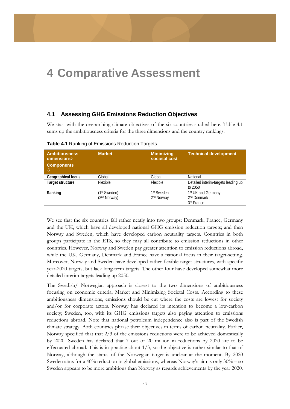# <span id="page-47-0"></span>**4 Comparative Assessment**

#### <span id="page-47-1"></span>**4.1 Assessing GHG Emissions Reduction Objectives**

We start with the overarching climate objectives of the six countries studied here. Table 4.1 sums up the ambitiousness criteria for the three dimensions and the country rankings.

| <b>Ambitiousness</b><br>dimension $\Rightarrow$<br><b>Components</b><br>⇩ | <b>Market</b>            | <b>Minimizing</b><br>societal cost | <b>Technical development</b>                   |
|---------------------------------------------------------------------------|--------------------------|------------------------------------|------------------------------------------------|
| Geographical focus                                                        | Global                   | Global                             | National                                       |
| Target structure                                                          | <b>Flexible</b>          | Flexible                           | Detailed interim-targets leading up<br>to 2050 |
| Ranking                                                                   | (1st Sweden)             | 1 <sup>st</sup> Sweden             | 1 <sup>st</sup> UK and Germany                 |
|                                                                           | (2 <sup>nd</sup> Norway) | 2 <sup>nd</sup> Norway             | 2 <sup>nd</sup> Denmark                        |
|                                                                           |                          |                                    | 3rd France                                     |

**Table 4.1** Ranking of Emissions Reduction Targets

We see that the six countries fall rather neatly into two groups: Denmark, France, Germany and the UK, which have all developed national GHG emission reduction targets; and then Norway and Sweden, which have developed carbon neutrality targets. Countries in both groups participate in the ETS, so they may all contribute to emission reductions in other countries. However, Norway and Sweden pay greater attention to emission reductions abroad, while the UK, Germany, Denmark and France have a national focus in their target-setting. Moreover, Norway and Sweden have developed rather flexible target structures, with specific year-2020 targets, but lack long-term targets. The other four have developed somewhat more detailed interim targets leading up 2050.

The Swedish/ Norwegian approach is closest to the two dimensions of ambitiousness focusing on economic criteria, Market and Minimizing Societal Costs. According to these ambitiousness dimensions, emissions should be cut where the costs are lowest for society and/or for corporate actors. Norway has declared its intention to become a low-carbon society; Sweden, too, with its GHG emissions targets also paying attention to emissions reductions abroad. Note that national petroleum independence also is part of the Swedish climate strategy. Both countries phrase their objectives in terms of carbon neutrality. Earlier, Norway specified that that  $2/3$  of the emissions reductions were to be achieved domestically by 2020. Sweden has declared that 7 out of 20 million in reductions by 2020 are to be effectuated abroad. This is in practice about 1/3, so the objective is rather similar to that of Norway, although the status of the Norwegian target is unclear at the moment. By 2020 Sweden aims for a 40% reduction in global emissions, whereas Norway's aim is only 30% – so Sweden appears to be more ambitious than Norway as regards achievements by the year 2020.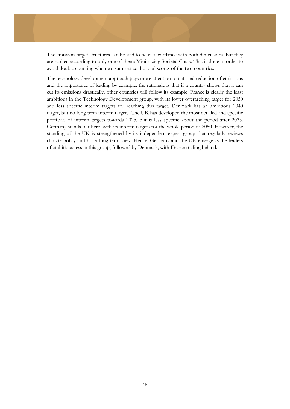The emission-target structures can be said to be in accordance with both dimensions, but they are ranked according to only one of them: Minimizing Societal Costs. This is done in order to avoid double counting when we summarize the total scores of the two countries.

The technology development approach pays more attention to national reduction of emissions and the importance of leading by example: the rationale is that if a country shows that it can cut its emissions drastically, other countries will follow its example. France is clearly the least ambitious in the Technology Development group, with its lower overarching target for 2050 and less specific interim targets for reaching this target. Denmark has an ambitious 2040 target, but no long-term interim targets. The UK has developed the most detailed and specific portfolio of interim targets towards 2025, but is less specific about the period after 2025. Germany stands out here, with its interim targets for the whole period to 2050. However, the standing of the UK is strengthened by its independent expert group that regularly reviews climate policy and has a long-term view. Hence, Germany and the UK emerge as the leaders of ambitiousness in this group, followed by Denmark, with France trailing behind.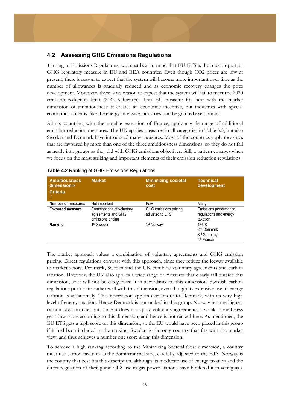#### <span id="page-49-0"></span>**4.2 Assessing GHG Emissions Regulations**

Turning to Emissions Regulations, we must bear in mind that EU ETS is the most important GHG regulatory measure in EU and EEA countries. Even though CO2 prices are low at present, there is reason to expect that the system will become more important over time as the number of allowances is gradually reduced and as economic recovery changes the price development. Moreover, there is no reason to expect that the system will fail to meet the 2020 emission reduction limit (21% reduction). This EU measure fits best with the market dimension of ambitiousness: it creates an economic incentive, but industries with special economic concerns, like the energy-intensive industries, can be granted exemptions.

All six countries, with the notable exception of France, apply a wide range of additional emission reduction measures. The UK applies measures in all categories in Table 3.3, but also Sweden and Denmark have introduced many measures. Most of the countries apply measures that are favoured by more than one of the three ambitiousness dimensions, so they do not fall as neatly into groups as they did with GHG emissions objectives. Still, a pattern emerges when we focus on the most striking and important elements of their emission reduction regulations.

| <b>Ambitiousness</b><br>dimension⇒<br><b>Criteria</b><br>⇩ | <b>Market</b>                                                        | <b>Minimizing societal</b><br>cost       | <b>Technical</b><br>development                                                 |
|------------------------------------------------------------|----------------------------------------------------------------------|------------------------------------------|---------------------------------------------------------------------------------|
| Number of measures                                         | Not important                                                        | Few                                      | Many                                                                            |
| <b>Favoured measure</b>                                    | Combinations of voluntary<br>agreements and GHG<br>emissions pricing | GHG emissions pricing<br>adjusted to ETS | Emissions performance<br>regulations and energy<br>taxation                     |
| Ranking                                                    | 1 <sup>st</sup> Sweden                                               | 1 <sup>st</sup> Norway                   | $1st$ l $K$<br>2 <sup>nd</sup> Denmark<br>3rd Germany<br>4 <sup>th</sup> France |

#### **Table 4.2** Ranking of GHG Emissions Regulations

The market approach values a combination of voluntary agreements and GHG emission pricing. Direct regulations contrast with this approach, since they reduce the leeway available to market actors. Denmark, Sweden and the UK combine voluntary agreements and carbon taxation. However, the UK also applies a wide range of measures that clearly fall outside this dimension, so it will not be categorized it in accordance to this dimension. Swedish carbon regulations profile fits rather well with this dimension, even though its extensive use of energy taxation is an anomaly. This reservation applies even more to Denmark, with its very high level of energy taxation. Hence Denmark is not ranked in this group. Norway has the highest carbon taxation rate; but, since it does not apply voluntary agreements it would nonetheless get a low score according to this dimension, and hence is not ranked here. As mentioned, the EU ETS gets a high score on this dimension, so the EU would have been placed in this group if it had been included in the ranking. Sweden is the only country that fits with the market view, and thus achieves a number one score along this dimension.

To achieve a high ranking according to the Minimizing Societal Cost dimension, a country must use carbon taxation as the dominant measure, carefully adjusted to the ETS. Norway is the country that best fits this description, although its moderate use of energy taxation and the direct regulation of flaring and CCS use in gas power stations have hindered it in acting as a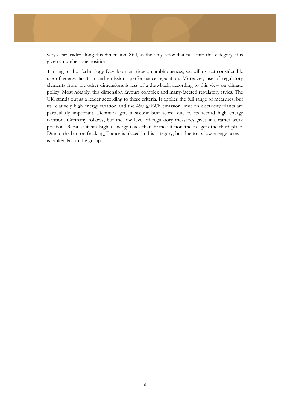very clear leader along this dimension. Still, as the only actor that falls into this category, it is given a number one position.

Turning to the Technology Development view on ambitiousness, we will expect considerable use of energy taxation and emissions performance regulation. Moreover, use of regulatory elements from the other dimensions is less of a drawback, according to this view on climate policy. Most notably, this dimension favours complex and many-faceted regulatory styles. The UK stands out as a leader according to these criteria. It applies the full range of measures, but its relatively high energy taxation and the 450  $g/kWh$  emission limit on electricity plants are particularly important. Denmark gets a second-best score, due to its record high energy taxation. Germany follows, but the low level of regulatory measures gives it a rather weak position. Because it has higher energy taxes than France it nonetheless gets the third place. Due to the ban on fracking, France is placed in this category, but due to its low energy taxes it is ranked last in the group.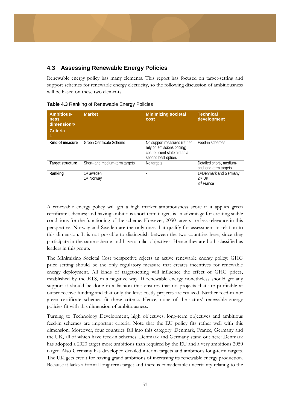#### <span id="page-51-0"></span>**4.3 Assessing Renewable Energy Policies**

Renewable energy policy has many elements. This report has focused on target-setting and support schemes for renewable energy electricity, so the following discussion of ambitiousness will be based on these two elements.

| <b>Ambitious-</b><br><b>ness</b><br>dimension $\Rightarrow$<br><b>Criteria</b><br>⇩ | <b>Market</b>                        | <b>Minimizing societal</b><br>cost                                                                                 | <b>Technical</b><br>development                             |
|-------------------------------------------------------------------------------------|--------------------------------------|--------------------------------------------------------------------------------------------------------------------|-------------------------------------------------------------|
| Kind of measure                                                                     | Green Certificate Scheme             | No support measures (rather<br>rely on emissions pricing),<br>cost-efficient state aid as a<br>second best option. | Feed-in schemes                                             |
| Target structure                                                                    | Short- and medium-term targets       | No targets                                                                                                         | Detailed short-, medium-<br>and long-term targets           |
| Ranking                                                                             | 1 <sup>st</sup> Sweden<br>1st Norway |                                                                                                                    | 1st Denmark and Germany<br>2 <sup>nd</sup> UK<br>3rd France |

A renewable energy policy will get a high market ambitiousness score if it applies green certificate schemes; and having ambitious short-term targets is an advantage for creating stable conditions for the functioning of the scheme. However, 2050 targets are less relevance in this perspective. Norway and Sweden are the only ones that qualify for assessment in relation to this dimension. It is not possible to distinguish between the two countries here, since they participate in the same scheme and have similar objectives. Hence they are both classified as leaders in this group.

The Minimizing Societal Cost perspective rejects an active renewable energy policy: GHG price setting should be the only regulatory measure that creates incentives for renewable energy deployment. All kinds of target-setting will influence the effect of GHG prices, established by the ETS, in a negative way. If renewable energy nonetheless should get any support it should be done in a fashion that ensures that no projects that are profitable at outset receive funding and that only the least costly projects are realized. Neither feed-in nor green certificate schemes fit these criteria. Hence, none of the actors' renewable energy policies fit with this dimension of ambitiousness.

Turning to Technology Development, high objectives, long-term objectives and ambitious feed-in schemes are important criteria. Note that the EU policy fits rather well with this dimension. Moreover, four countries fall into this category: Denmark, France, Germany and the UK, all of which have feed-in schemes. Denmark and Germany stand out here: Denmark has adopted a 2020 target more ambitious than required by the EU and a very ambitious 2050 target. Also Germany has developed detailed interim targets and ambitious long-term targets. The UK gets credit for having grand ambitions of increasing its renewable energy production. Because it lacks a formal long-term target and there is considerable uncertainty relating to the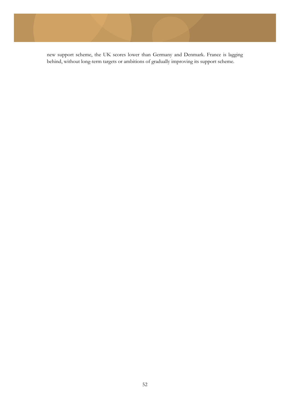new support scheme, the UK scores lower than Germany and Denmark. France is lagging behind, without long-term targets or ambitions of gradually improving its support scheme.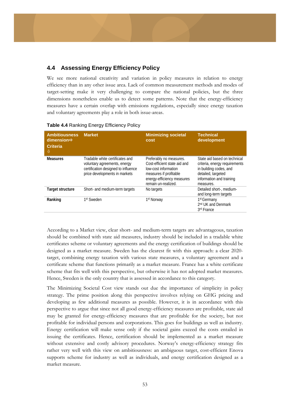#### <span id="page-53-0"></span>**4.4 Assessing Energy Efficiency Policy**

We see more national creativity and variation in policy measures in relation to energy efficiency than in any other issue area. Lack of common measurement methods and modes of target-setting make it very challenging to compare the national policies, but the three dimensions nonetheless enable us to detect some patterns. Note that the energy-efficiency measures have a certain overlap with emissions regulations, especially since energy taxation and voluntary agreements play a role in both issue-areas.

| <b>Ambitiousness</b><br>dimension $\Rightarrow$<br><b>Criteria</b><br>₩ | <b>Market</b>                                                                                                                           | <b>Minimizing societal</b><br>cost                                                                                                                             | <b>Technical</b><br>development                                                                                                                        |
|-------------------------------------------------------------------------|-----------------------------------------------------------------------------------------------------------------------------------------|----------------------------------------------------------------------------------------------------------------------------------------------------------------|--------------------------------------------------------------------------------------------------------------------------------------------------------|
| <b>Measures</b>                                                         | Tradable white certificates and<br>voluntary agreements, energy<br>certification designed to influence<br>price developments in markets | Preferably no measures.<br>Cost-efficient state aid and<br>low-cost information<br>measures if profitable<br>energy-efficiency measures<br>remain un-realized. | State aid based on technical<br>criteria, energy requirements<br>in building codes, and<br>detailed, targeted<br>information and training<br>measures. |
| Target structure                                                        | Short- and medium-term targets                                                                                                          | No targets                                                                                                                                                     | Detailed short-, medium-<br>and long-term targets                                                                                                      |
| Ranking                                                                 | 1 <sup>st</sup> Sweden                                                                                                                  | 1 <sup>st</sup> Norway                                                                                                                                         | 1 <sup>st</sup> Germany<br>2 <sup>nd</sup> UK and Denmark<br>3rd France                                                                                |

#### **Table 4.4** Ranking Energy Efficiency Policy

According to a Market view, clear short- and medium-term targets are advantageous, taxation should be combined with state aid measures, industry should be included in a tradable white certificates scheme or voluntary agreements and the energy certification of buildings should be designed as a market measure. Sweden has the clearest fit with this approach: a clear 2020 target, combining energy taxation with various state measures, a voluntary agreement and a certificate scheme that functions primarily as a market measure. France has a white certificate scheme that fits well with this perspective, but otherwise it has not adopted market measures. Hence, Sweden is the only country that is assessed in accordance to this category.

The Minimizing Societal Cost view stands out due the importance of simplicity in policy strategy. The prime position along this perspective involves relying on GHG pricing and developing as few additional measures as possible. However, it is in accordance with this perspective to argue that since not all good energy-efficiency measures are profitable, state aid may be granted for energy-efficiency measures that are profitable for the society, but not profitable for individual persons and corporations. This goes for buildings as well as industry. Energy certification will make sense only if the societal gains exceed the costs entailed in issuing the certificates. Hence, certification should be implemented as a market measure without extensive and costly advisory procedures. Norway's energy-efficiency strategy fits rather very well with this view on ambitiousness: an ambiguous target, cost-efficient Enova supports scheme for industry as well as individuals, and energy certification designed as a market measure.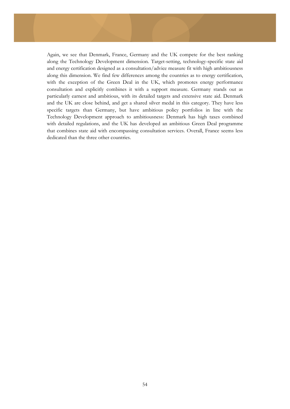Again, we see that Denmark, France, Germany and the UK compete for the best ranking along the Technology Development dimension. Target-setting, technology-specific state aid and energy certification designed as a consultation/advice measure fit with high ambitiousness along this dimension. We find few differences among the countries as to energy certification, with the exception of the Green Deal in the UK, which promotes energy performance consultation and explicitly combines it with a support measure. Germany stands out as particularly earnest and ambitious, with its detailed targets and extensive state aid. Denmark and the UK are close behind, and get a shared silver medal in this category. They have less specific targets than Germany, but have ambitious policy portfolios in line with the Technology Development approach to ambitiousness: Denmark has high taxes combined with detailed regulations, and the UK has developed an ambitious Green Deal programme that combines state aid with encompassing consultation services. Overall, France seems less dedicated than the three other countries.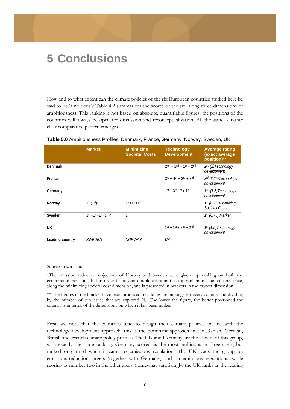### <span id="page-55-0"></span>**5 Conclusions**

How and to what extent can the climate policies of the six European countries studied here be said to be 'ambitious'? Table 4.2 summarizes the scores of the six, along three dimensions of ambitiousness. This ranking is not based on absolute, quantifiable figures: the positions of the countries will always be open for discussion and reconceptualization. All the same, a rather clear comparative pattern emerges

|                 | <b>Market</b>                 | <b>Minimizing</b><br><b>Societal Costs</b> | <b>Technology</b><br><b>Development</b>   | <b>Average rating</b><br>(exact average<br>position)** |
|-----------------|-------------------------------|--------------------------------------------|-------------------------------------------|--------------------------------------------------------|
| <b>Denmark</b>  |                               |                                            | $2^{nd}$ + $2^{nd}$ + $1^{st}$ + $2^{nd}$ | $2nd$ (2) Technology<br>development                    |
| France          |                               |                                            | $3^{rd}$ + $4^{th}$ + $3^{rd}$ + $3^{rd}$ | 3rd (3.25) Technology<br>development                   |
| Germany         |                               |                                            | $1$ st + $3$ rd $1$ st + $1$ st           | $1st$ (1.5) Technology<br>development                  |
| Norway          | $1st (1st)*$                  | $1st_{+}1st_{+}1st$                        |                                           | $1st$ (0.75)Minimizing<br>Societal Costs               |
| Sweden          | $1^{st}+1^{st}+1^{st}$ (1st)* | 1 <sup>st</sup>                            |                                           | 1st (0.75) Market                                      |
| UК              |                               |                                            | $1$ st + $1$ st + $2$ nd + $2$ nd         | $1st$ (1.5) Technology<br>development                  |
| Leading country | SWEDEN                        | <b>NORWAY</b>                              | UК                                        |                                                        |

#### **Table 5.0** Ambitiousness Profiles: Denmark, France, Germany, Norway, Sweden, UK

Sources: own data.

\*The emission reduction objectives of Norway and Sweden were given top ranking on both the economic dimensions, but in order to prevent double counting this top ranking is counted only once, along the minimizing societal cost dimension, and is presented in brackets in the market dimension.

\*\* The figures in the bracket have been produced by adding the rankings for every country and dividing by the number of sub-issues that are explored (4). The lower the figure, the better positioned the country is in terms of the dimensions on which it has been ranked.

First, we note that the countries tend to design their climate policies in line with the technology development approach: this is the dominant approach in the Danish, German, British and French climate policy profiles. The UK and Germany are the leaders of this group, with exactly the same ranking. Germany scored as the most ambitious in three areas, but ranked only third when it came to emissions regulation. The UK leads the group on emissions-reduction targets (together with Germany) and on emissions regulations, while scoring as number two in the other areas. Somewhat surprisingly, the UK ranks as the leading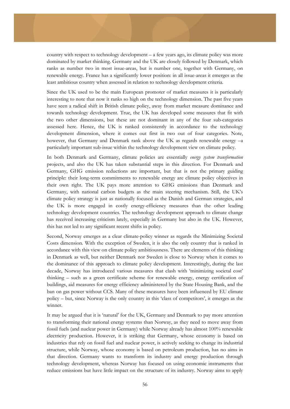country with respect to technology development – a few years ago, its climate policy was more dominated by market thinking. Germany and the UK are closely followed by Denmark, which ranks as number two in most issue-areas, but is number one, together with Germany, on renewable energy. France has a significantly lower position: in all issue-areas it emerges as the least ambitious country when assessed in relation to technology development criteria.

Since the UK used to be the main European promoter of market measures it is particularly interesting to note that now it ranks so high on the technology dimension. The past five years have seen a radical shift in British climate policy, away from market measure dominance and towards technology development. True, the UK has developed some measures that fit with the two other dimensions, but these are not dominant in any of the four sub-categories assessed here. Hence, the UK is ranked consistently in accordance to the technology development dimension, where it comes out first in two out of four categories. Note, however, that Germany and Denmark rank above the UK as regards renewable energy –a particularly important sub-issue within the technology development view on climate policy.

In both Denmark and Germany, climate policies are essentially *energy system transformation*  projects, and also the UK has taken substantial steps in this direction. For Denmark and Germany, GHG emission reductions are important, but that is not the primary guiding principle: their long-term commitments to renewable energy are climate policy objectives in their own right. The UK pays more attention to GHG emissions than Denmark and Germany, with national carbon budgets as the main steering mechanism. Still, the UK's climate policy strategy is just as nationally focused as the Danish and German strategies, and the UK is more engaged in costly energy-efficiency measures than the other leading technology development countries. The technology development approach to climate change has received increasing criticism lately, especially in Germany but also in the UK. However, this has not led to any significant recent shifts in policy.

Second, Norway emerges as a clear climate-policy winner as regards the Minimizing Societal Costs dimension. With the exception of Sweden, it is also the only country that is ranked in accordance with this view on climate policy ambitiousness. There are elements of this thinking in Denmark as well, but neither Denmark nor Sweden is close to Norway when it comes to the dominance of this approach to climate policy development. Interestingly, during the last decade, Norway has introduced various measures that clash with 'minimizing societal cost' thinking – such as a green certificate scheme for renewable energy, energy certification of buildings, aid measures for energy efficiency administered by the State Housing Bank, and the ban on gas power without CCS. Many of these measures have been influenced by EU climate policy – but, since Norway is the only country in this 'class of competitors', it emerges as the winner.

It may be argued that it is 'natural' for the UK, Germany and Denmark to pay more attention to transforming their national energy systems than Norway, as they need to move away from fossil fuels (and nuclear power in Germany) while Norway already has almost 100% renewable electricity production. However, it is striking that Germany, whose economy is based on industries that rely on fossil fuel and nuclear power, is actively seeking to change its industrial structure, while Norway, whose economy is based on petroleum production, has no aims in that direction. Germany wants to transform its industry and energy production through technology development, whereas Norway has focused on using economic instruments that reduce emissions but have little impact on the structure of its industry. Norway aims to apply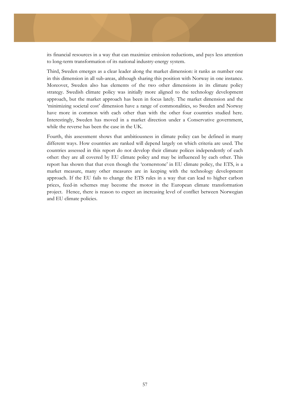its financial resources in a way that can maximize emission reductions, and pays less attention to long-term transformation of its national industry-energy system.

Third, Sweden emerges as a clear leader along the market dimension: it ranks as number one in this dimension in all sub-areas, although sharing this position with Norway in one instance. Moreover, Sweden also has elements of the two other dimensions in its climate policy strategy. Swedish climate policy was initially more aligned to the technology development approach, but the market approach has been in focus lately. The market dimension and the 'minimizing societal cost' dimension have a range of commonalities, so Sweden and Norway have more in common with each other than with the other four countries studied here. Interestingly, Sweden has moved in a market direction under a Conservative government, while the reverse has been the case in the UK.

Fourth, this assessment shows that ambitiousness in climate policy can be defined in many different ways. How countries are ranked will depend largely on which criteria are used. The countries assessed in this report do not develop their climate polices independently of each other: they are all covered by EU climate policy and may be influenced by each other. This report has shown that that even though the 'cornerstone' in EU climate policy, the ETS, is a market measure, many other measures are in keeping with the technology development approach. If the EU fails to change the ETS rules in a way that can lead to higher carbon prices, feed-in schemes may become the motor in the European climate transformation project. Hence, there is reason to expect an increasing level of conflict between Norwegian and EU climate policies.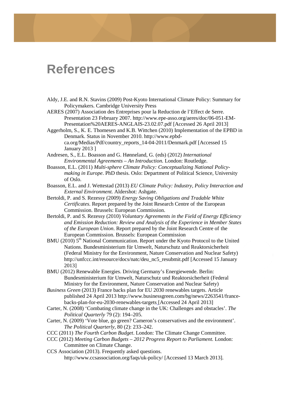# <span id="page-58-0"></span>**References**

Aldy, J.E. and R.N. Stavins (2009) Post-Kyoto International Climate Policy: Summary for Policymakers. Cambridge University Press

AERES (2007) Association des Entreprises pour la Reduction de l'Effect de Serre. Presentation 23 February 2007. http://www.epe-asso.org/aeres/doc/06-051-EM-Presentation%20AERES-ANGLAIS-23.02.07.pdf [Accessed 26 April 2013]

Aggerholm, S., K. E. Thomesen and K.B. Wittchen (2010) Implementation of the EPBD in Denmark. Status in November 2010. http://www.epbdca.org/Medias/Pdf/country\_reports\_14-04-2011/Denmark.pdf [Accessed 15 January 2013 ]

Andresen, S., E.L. Boasson and G. Hønneland, G. (eds) (2012) *International Environmental Agreements – An Introduction.* London: Routledge.

- Boasson, E.L. (2011) *Multi-sphere Climate Policy: Conceptualizing National Policymaking in Europe*. PhD thesis. Oslo: Department of Political Science, University of Oslo.
- Boasson, E.L. and J. Wettestad (2013) *EU Climate Policy: Industry, Policy Interaction and External Environment.* Aldershot: Ashgate.
- Bertoldi, P. and S. Rezessy (2009) *Energy Saving Obligations and Tradable White Certificates*. Report prepared by the Joint Research Centre of the European Commission. Brussels: European Commission.
- Bertoldi, P. and S. Rezessy (2010) *Voluntary Agreements in the Field of Energy Efficiency and Emission Reduction: Review and Analysis of the Experience in Member States of the European Union*. Report prepared by the Joint Research Centre of the European Commission. Brussels: European Commission
- BMU (2010) 5<sup>th</sup> National Communication. Report under the Kyoto Protocol to the United Nations. Bundesministerium für Umwelt, Naturschutz und Reaktorsicherheit (Federal Ministry for the Environment, Nature Conservation and Nuclear Safety) http://unfccc.int/resource/docs/natc/deu\_nc5\_resubmit.pdf [Accessed 15 January 2013]
- BMU (2012) Renewable Energies. Driving Germany's Energiewende. Berlin: Bundesministerium für Umwelt, Naturschutz und Reaktorsicherheit (Federal Ministry for the Environment, Nature Conservation and Nuclear Safety)

*Business Green* (2013) France backs plan for EU 2030 renewables targets. Article published 24 April 2013 http://www.businessgreen.com/bg/news/2263541/francebacks-plan-for-eu-2030-renewables-targets [Accessed 24 April 2013]

- Carter, N. (2008) 'Combating climate change in the UK: Challenges and obstacles'. *The Political Quarterly* 79 (2): 194–205.
- Carter, N. (2009) 'Vote blue, go green? Cameron's conservatives and the environment'. *The Political Quarterly,* 80 (2): 233–242.
- CCC (2011) *The Fourth Carbon Budget*. London: The Climate Change Committee.
- CCC (2012) *Meeting Carbon Budgets 2012 Progress Report to Parliament.* London: Committee on Climate Change.
- CCS Association (2013). Frequently asked questions. http://www.ccsassociation.org/faqs/uk-policy/ [Accessed 13 March 2013].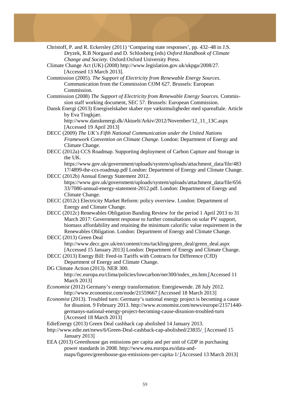Christoff, P. and R. Eckersley (2011) 'Comparing state responses', pp. 432–48 in J.S. Dryzek, R.B Norgaard and D. Schlosberg (eds) *Oxford Handbook of Climate Change and Society*. Oxford:Oxford University Press.

- Climate Change Act (UK) (2008) http://www.legislation.gov.uk/ukpga/2008/27. [Accessed 13 March 2013].
- Commission (2005). *The Support of Electricity from Renewable Energy Sources*. Communication from the Commission COM 627. Brussels: European Commission.
- Commission (2008) *The Support of Electricity from Renewable Energy Sources.* Commission staff working document, SEC 57. Brussels: European Commission.
- Dansk Energi (2013) Energiselskaber skaber nye vækstmuligheder med spareaftale. Article by Eva Tingkjær.

http://www.danskenergi.dk/Aktuelt/Arkiv/2012/November/12\_11\_13C.aspx [Accessed 19 April 2013]

- DECC (2009) *The UK's Fifth National Communication under the United Nations Framework Convention on Climate Change.* London: Department of Energy and Climate Change.
- DECC (2012a) CCS Roadmap. Supporting deployment of Carbon Capture and Storage in the UK.

https://www.gov.uk/government/uploads/system/uploads/attachment\_data/file/483 17/4899-the-ccs-roadmap.pdf London: Department of Energy and Climate Change.

- DECC (2012b) Annual Energy Statement 2012. https://www.gov.uk/government/uploads/system/uploads/attachment\_data/file/656 33/7086-annual-energy-statement-2012.pdf. London: Department of Energy and Climate Change.
- DECC (2012c) Electricity Market Reform: policy overview. London: Department of Energy and Climate Change.
- DECC (2012c) Renewables Obligation Banding Review for the period 1 April 2013 to 31 March 2017: Government response to further consultations on solar PV support, biomass affordability and retaining the minimum calorific value requirement in the Renewables Obligation. London: Department of Energy and Climate Change.
- DECC (2013) Green Deal http://www.decc.gov.uk/en/content/cms/tackling/green\_deal/green\_deal.aspx [Accessed 15 January 2013] London: Department of Energy and Climate Change.
- DECC (2013) Energy Bill: Feed-in Tariffs with Contracts for Difference (CfD) Department of Energy and Climate Change.

DG Climate Action (2013). NER 300.

http://ec.europa.eu/clima/policies/lowcarbon/ner300/index\_en.htm [Accessed 11 March 2013]

- *Economist* (2012) Germany's energy transformation: Energiewende. 28 July 2012. http://www.economist.com/node/21559667 [Accessed 18 March 2013]
- *Economist* (2013). Troubled turn: Germany's national energy project is becoming a cause for disunion. 9 February 2013. http://www.economist.com/news/europe/21571440 germanys-national-energy-project-becoming-cause-disunion-troubled-turn [Accessed 18 March 2013]
- EdieEnergy (2013) Green Deal cashback cap abolished 14 January 2013.
- http://www.edie.net/news/6/Green-Deal-cashback-cap-abolished/23835/ [Accessed 15 January 2013]
- EEA (2013) Greenhouse gas emissions per capita and per unit of GDP in purchasing power standards in 2008. http://www.eea.europa.eu/data-andmaps/figures/greenhouse-gas-emissions-per-capita-1/ [Accessed 13 March 2013]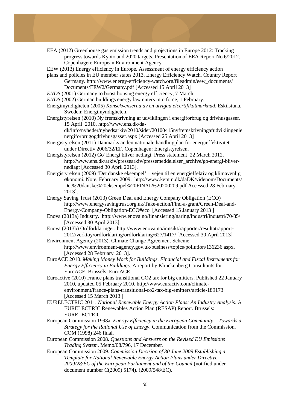EEA (2012) Greenhouse gas emission trends and projections in Europe 2012: Tracking progress towards Kyoto and 2020 targets. Presentation of EEA Report No 6/2012. Copenhagen: European Environment Agency.

EEW (2013) Energy efficiency in Europe. Assessment of energy efficiency action

- plans and policies in EU member states 2013. Energy Efficiency Watch. Country Report Germany. http://www.energy-efficiency-watch.org/fileadmin/eew\_documents/ Documents/EEW2/Germany.pdf [Accessed 15 April 2013]
- *ENDS* (2001) Germany to boost housing energy efficiency, 7 March.
- *ENDS* (2002) German buildings energy law enters into force, 1 February.
- Energimyndigheten (2005) *Konsekvenserna av en utvigad elcertifikatmarknad*. Eskilstuna, Sweden: Energimyndigheten.
- Energistyrelsen (2010) Ny fremskrivning af udviklingen i energiforbrug og drivhusgasser. 15 April 2010. http://www.ens.dk/da-

dk/info/nyheder/nyhedsarkiv/2010/sider/20100415nyfremskrivningafudviklingenie nergiforbrugogdrivhusgasser.aspx [Accessed 25 April 2013]

- Energistyrelsen (2011) Danmarks anden nationale handlingplan for energieffektivitet under Directiv 2006/32/EF. Copenhagen: Energistyrelsen.
- Energistyrelsen (2012) Go' Energi bliver nedlagt. Press statement 22 March 2012. http://www.ens.dk/arkiv/pressearkiv/pressemeddelelser\_archive/go-energi-blivernedlagt [Accessed 30 April 2013].
- Energistyrelsen (2009) 'Det danske eksempel' vejen til en energieffektiv og klimavenlig økonomi. Note, February 2009. http://www.kemin.dk/daDK/videnom/Documents/ Det%20danske%20eksempel%20FINAL%20200209.pdf Accessed 28 February 2013].
- Energy Saving Trust (2013) Green Deal and Energy Company Obligation (ECO) http://www.energysavingtrust.org.uk/Take-action/Find-a-grant/Green-Deal-and-Energy-Company-Obligation-ECO#eco [Accessed 15 January 2013 ]
- Enova (2013a) Industry. http://www.enova.no/finansiering/naring/industri/industri/70/85/ [Accessed 30 April 2013].
- Enova (2013b) Ordforklaringer. http://www.enova.no/innsikt/rapporter/resultatrapport-2012/verktoy/ordforklaring/ordforklaring/627/1417/ [Accessed 30 April 2013]
- Environment Agency (2013). Climate Change Agreement Scheme. http://www.environment-agency.gov.uk/business/topics/pollution/136236.aspx. [Accessed 28 February 2013].
- EuroACE 2010. *Making Money Work for Buildings. Financial and Fiscal Instruments for Energy Efficiency in Buildings*. A report by Klinckenberg Consultants for EuroACE. Brussels: EuroACE.
- Euroactive (2010) France plans transitional CO2 tax for big emitters. Published 22 January 2010, updated 05 February 2010. http://www.euractiv.com/climateenvironment/france-plans-transitional-co2-tax-big-emitters/article-189173 [Accessed 15 March 2013 ]
- EURELECTRIC 2011. *National Renewable Energy Action Plans: An Industry Analysis*. A EURELECTRIC Renewables Action Plan (RESAP) Report. Brussels: EURELECTRIC.
- European Commission 1998a. *Energy Efficiency in the European Community Towards a Strategy for the Rational Use of Energy*. Communication from the Commission. COM (1998) 246 final.
- European Commission 2008. *Questions and Answers on the Revised EU Emissions Trading System*. Memo/08/796, 17 December.
- European Commission 2009. *Commission Decision of 30 June 2009 Establishing a Template for National Renewable Energy Action Plans under Directive 2009/28/EC of the European Parliament and of the Council* (notified under document number C(2009) 5174). (2009/548/EC).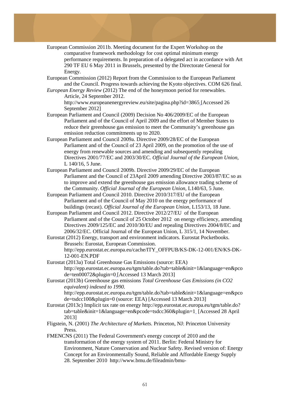- European Commission 2011b. Meeting document for the Expert Workshop on the comparative framework methodology for cost optimal minimum energy performance requirements. In preparation of a delegated act in accordance with Art 290 TF EU 6 May 2011 in Brussels, presented by the Directorate General for Energy.
- European Commission (2012) Report from the Commission to the European Parliament and the Council. Progress towards achieving the Kyoto objectives. COM 626 final.
- *European Energy Review* (2012) The end of the honeymoon period for renewables. Article, 24 September 2012.

http://www.europeanenergyreview.eu/site/pagina.php?id=3865 [Accessed 26 September 2012]

- European Parliament and Council (2009) Decision No 406/2009/EC of the European Parliament and of the Council of April 2009 and the effort of Member States to reduce their greenhouse gas emission to meet the Community's greenhouse gas emission reduction commitments up to 2020.
- European Parliament and Council 2009a. Directive 2009/28/EC of the European Parliament and of the Council of 23 April 2009, on the promotion of the use of energy from renewable sources and amending and subsequently repealing Directives 2001/77/EC and 2003/30/EC. *Official Journal of the European Union*, L 140/16, 5 June.
- European Parliament and Council 2009b. Directive 2009/29/EC of the European Parliament and the Council of 23April 2009 amending Directive 2003/87/EC so as to improve and extend the greenhouse gas emission allowance trading scheme of the Community. *Official Journal of the European Union*, L140/63, 5 June.
- European Parliament and Council 2010. Directive 2010/317/EU of the European Parliament and of the Council of May 2010 on the energy performance of buildings (recast). *Official Journal of the European Union*, L153/13, 18 June.
- European Parliament and Council 2012. Directive 2012/27/EU of the European Parliament and of the Council of 25 October 2012 on energy efficiency, amending Directives 2009/125/EC and 2010/30/EU and repealing Directives 2004/8/EC and 2006/32/EC. Official Journal of the European Union, L 315/1, 14 November.

Eurostat (2012) Energy, transport and environment indicators. Eurostat Pocketbooks. Brussels: Eurostat, European Commission. http://epp.eurostat.ec.europa.eu/cache/ITY\_OFFPUB/KS-DK-12-001/EN/KS-DK-12-001-EN.PDF

- Eurostat (2013a) Total Greenhouse Gas Emissions (source: EEA) http://epp.eurostat.ec.europa.eu/tgm/table.do?tab=table&init=1&language=en&pco de=ten00072&plugin=0 [Accessed 13 March 2013]
- Eurostat (2013b) Greenhouse gas emissions *Total Greenhouse Gas Emissions (in CO2 equivalent) indexed to 1990.*

http://epp.eurostat.ec.europa.eu/tgm/table.do?tab=table&init=1&language=en&pco de=tsdcc100&plugin=0 (source: EEA) [Accessed 13 March 2013]

- Eurostat (2013c) Implicit tax rate on energy http://epp.eurostat.ec.europa.eu/tgm/table.do? tab=table&init=1&language=en&pcode=tsdcc360&plugin=1 [Accessed 28 April 2013]
- Fligstein, N. (2001) *The Architecture of Markets.* Princeton, NJ: Princeton University Press.
- FMENCNS (2011) The Federal Government's energy concept of 2010 and the transformation of the energy system of 2011. Berlin: Federal Ministry for Environment, Nature Conservation and Nuclear Safety. Revised version of: Energy Concept for an Environmentally Sound, Reliable and Affordable Energy Supply 28. September 2010 http://www.bmu.de/fileadmin/bmu-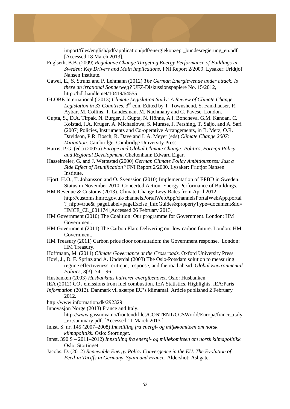import/files/english/pdf/application/pdf/energiekonzept\_bundesregierung\_en.pdf [Accessed 18 March 2013].

- Fuglseth, B.B. (2009) *Regulative Change Targeting Energy Performance of Buildings in Sweden: Key Drivers and Main Implications*. FNI Report 2/2009. Lysaker: Fridtjof Nansen Institute.
- Gawel, E., S. Strunz and P. Lehmann (2012) *The German Energiewende under attack: Is there an irrational Sonderweg?* UFZ-Diskussionspapiere No. 15/2012, http://hdl.handle.net/10419/64555
- GLOBE International ( 2013) *Climate Legislation Study: A Review of Climate Change Legislation in 33 Countries.* 3rd edn. Edited by T. Townshend, S. Fankhauser, R. Aybar, M. Collins, T. Landesman, M. Nachmany and C. Pavese. London.
- Gupta, S., D.A. Tirpak, N. Burger, J. Gupta, N. Höhne, A.I. Boncheva, G.M. Kanoan, C. Kolstad, J.A. Kruger, A. Michaelowa, S. Murase, J. Pershing, T. Saijo, and A. Sari (2007) Policies, Instruments and Co-operative Arrangements, in B. Metz, O.R. Davidson, P.R. Bosch, R. Dave and L.A. Meyer (eds) *Climate Change 2007: Mitigation.* Cambridge: Cambridge University Press.
- Harris, P.G. (ed.) (2007a) *Europe and Global Climate Change: Politics, Foreign Policy and Regional Development*. Cheltenham: Edward Elgar.
- Hasselmeier, G. and J. Wettestad (2000) *German Climate Policy Ambitiousness: Just a Side Effect of Reunification?* FNI Report 2/2000. Lysaker: Fridtjof Nansen Institute.
- Hjort, H.O., T. Johansson and O. Svenssion (2010) Implementation of EPBD in Sweden. Status in November 2010. Concerted Action, Energy Performance of Buildings.
- HM Revenue & Customs (2013). Climate Change Levy Rates from April 2012. http://customs.hmrc.gov.uk/channelsPortalWebApp/channelsPortalWebApp.portal ?\_nfpb=true&\_pageLabel=pageExcise\_InfoGuides&propertyType=document&id= HMCE CL 001174 [Accessed 26 February 2013]
- HM Government (2010) The Coalition: Our programme for Government. London: HM Government.
- HM Government (2011) The Carbon Plan: Delivering our low carbon future. London: HM Government.
- HM Treasury (2011) Carbon price floor consultation: the Government response. London: HM Treasury.
- Hoffmann, M. (2011) *Climate Governance at the Crossroads.* Oxford University Press
- Hovi, J., D. F. Sprinz and A. Underdal (2003) The Oslo-Potsdam solution to measuring regime effectiveness: critique, response, and the road ahead. *Global Environmental Politics*, 3(3): 74 – 96
- Husbanken (2003) *Husbankhus halverer energibehovet*. Oslo: Husbanken.
- IEA (2012)  $CO<sub>2</sub>$  emissions from fuel combustion. IEA Statistics. Highlights. IEA: Paris
- *Information* (2012). Danmark vil skærpe EU's klimamål. Article published 2 February 2012.
- http://www.information.dk/292329
- Innovasjon Norge (2013) France and Italy.
	- http://www.gassnova.no/frontend/files/CONTENT/CCSWorld/Europa/france\_italy \_ex.summary.pdf. [Accessed 11 March 2013 ].
- Innst. S. nr. 145 (2007–2008) *Innstilling fra energi- og miljøkomiteen om norsk klimapolitikk.* Oslo: Stortinget.
- Innst. 390 S 2011–2012) *Innstilling fra energi- og miljøkomiteen om norsk klimapolitikk.* Oslo: Stortinget.
- Jacobs, D. (2012) *Renewable Energy Policy Convergence in the EU. The Evolution of Feed-in Tariffs in Germany, Spain and France.* Aldershot: Ashgate.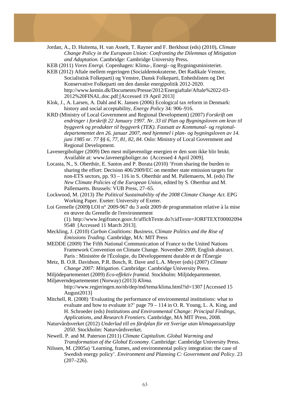- Jordan, A., D. Huitema, H. van Asselt, T. Rayner and F. Berkhout (eds) (2010), *Climate Change Policy in the European Union: Confronting the Dilemmas of Mitigation and Adaptation.* Cambridge: Cambridge University Press.
- KEB (2011) *Vores Energi.* Copenhagen: Klima-, Energi- og Bygningsministeriet.
- KEB (2012) Aftale mellem regeringen (Socialdemokraterne, Det Radikale Venstre, Socialistisk Folkeparti) og Venstre, Dansk Folkeparti, Enhedslisten og Det Konservative Folkeparti om den danske energipolitik 2012-2020. http://www.kemin.dk/Documents/Presse/2012/Energiaftale/Aftale%2022-03- 2012%20FINAL.doc.pdf [Accessed 19 April 2013]
- Klok, J., A. Larsen, A. Dahl and K. Jansen (2006) Ecological tax reform in Denmark: history and social acceptability, *Energy Policy* 34: 906–916.
- KRD (Ministry of Local Government and Regional Development) (2007) *Forskrift om endringer i forskrift 22 January 1997. Nr. 33 til Plan og Bygningsloven om krav til byggverk og produkter til byggverk (TEK). Fastsatt av Kommunal- og regionaldepartementet den 26. januar 2007, med hjemmel i plan- og bygningsloven av 14. juni 1985 nr. 77 §§ 6, 77, 81, 82, 84*. Oslo: Ministry of Local Government and Regional Development.
- Lavenergiboliger (2009) Den mest miljøvennlige energien er den som ikke blir brukt. Available at: www.lavenergiboliger.no (Accessed 4 April 2009].
- Locasta, N., S. Oberthür, E. Santos and P. Borata (2010) 'From sharing the burden to sharing the effort: Decision 406/2009/EC on member state emission targets for non-ETS sectors, pp. 93 – 116 in S. Oberthür and M. Pallemaerts, M. (eds) *The New Climate Policies of the European Union*, edited by S. Oberthur and M. Pallemaerts. Brussels: VUB Press, 27–65.
- Lockwood, M. (2013) *The Political Sustainability of the 2008 Climate Change Act.* EPG Working Paper. Exeter: University of Exeter.
- Loi Grenelle (2009**)** LOI n° 2009-967 du 3 août 2009 de programmation relative à la mise en œuvre du Grenelle de l'environnement (1). http://www.legifrance.gouv.fr/affichTexte.do?cidTexte=JORFTEXT00002094
	- 9548[Accessed 11 March 2013].
- Meckling, J. (2010) *Carbon Coalitions: Business, Climate Politics and the Rise of Emissions Trading.* Cambridge, MA: MIT Press
- MEDDE (2009) The Fifth National Communication of France to the United Nations Framework Convention on Climate Change. November 2009, English abstract. Paris : Ministère de l'Écologie, du Développement durable et de l'Énergie
- Metz, B. O.R. Davidson, P.R. Bosch, R. Dave and L.A. Meyer (eds) (2007) *Climate Change 2007: Mitigation.* Cambridge: Cambridge University Press.
- Miljödepartementet (2009) *Eco-effektiv framtid.* Stockholm: Miljödepartementet.

Miljøverndepartementet (Norway) (2013) *Klima.*

http://www.regjeringen.no/nb/dep/md/tema/klima.html?id=1307 [Accessed 15 August2013]

- Mitchell, R. (2008) 'Evaluating the performance of environmental institutions: what to evaluate and how to evaluate it?' page 79 – 114 in O. R. Young, L. A. King, and H. Schroeder (eds) *Institutions and Environmental Change: Principal Findings, Applications, and Research Frontiers.* Cambridge, MA MIT Press, 2008.
- Naturvårdsverket (2012) *Underlad till en färdplan för ett Sverige utan klimagassutslipp 2050.* Stockholm: Naturvårdsverket.
- Newell. P. and M. Paterson (2011) *Climate Capitalism. Global Warming and Transformation of the Global Economy*. Cambridge: Cambridge University Press.
- Nilssen, M. (2005a) 'Learning, frames, and environmental policy integration: the case of Swedish energy policy'. *Environment and Planning C: Government and Policy*. 23 (207–226).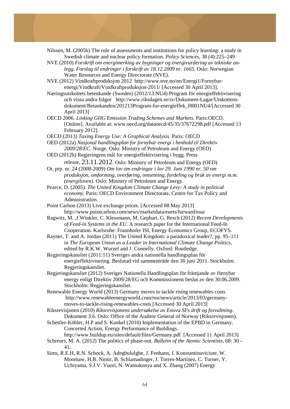Nilssen, M. (2005b) The role of assessments and institutions for policy learning: a study in Swedish climate and nuclear policy formation. *Policy Sciences,* 38 (4):225–249

NVE (2010) *Forskrift om energimerking av bygninger og energivurdering av tekniske anlegg. Forslag til endringer i forskrift av 18.12.2009 nr. 1665*. Oslo: Norwegian Water Resources and Energy Directorate (NVE).

NVE (2012) Vindkraftproduksjon 2012 http://www.nve.no/no/Energi1/Fornybarenergi/Vindkraft/Vindkraftproduksjon-2011/ [Accessed 30 April 2013].

Næringsutskottets betenkande (Sweden) (2012/13:NU4) Program för energieffektivisering och vissa andra frågor http://www.riksdagen.se/sv/Dokument-Lagar/Utskottensdokument/Betankanden/201213Program-for-energieffek\_H001NU4/[Accessed 30 April 2013]

OECD 2006. *Linking GHG Emission Trading Schemes and Markets*. Paris:OECD. [Online]. Available at: www.oecd.org/dataoecd/45/35/37672298.pdf [Accessed 13 February 2012].

OECD (2013) *Taxing Energy Use: A Graphical Analysis*. Paris: OECD

OED (2012a) *Nasjonal handlingsplan for fornybar energi i henhold til Direktiv 2009/28/EC.* Norge. Oslo: Ministry of Petroleum and Energy (OED)

- OED (2012b) Regjeringens mål for energieffektivisering i bygg. Press release, 23.11.2012. Oslo: Ministry of Petroleum and Energy (OED)
- Ot. prp. nr. 24 (2008-2009) *Om lov om endringar i lov 29. Juni 1990 nr. 50 om produksjon, omforming, overføring, omsetning, fordeling og bruk av energi m.m. (energiloven).* Oslo: Ministry of Petroleum and Energy.
- Pearce, D. (2005). *The United Kingdom Climate Change Levy: A study in political economy*. Paris: OECD Environment Directorate, Centre for Tax Policy and Administration.

Point Carbon (2013) Live exchange prices. [Accessed 08 May 2013] http://www.pointcarbon.com/news/marketdata/euets/forward/eua/

Ragwitz, M. ,J.Winkler, C. Klessmann, M. Gephart, G. Resch (2012) *Recent Developments of Feed-in Systems in the EU.* A research paper for the International Feed-In Cooperation. Karlsruhe: Fraunhofer ISI, Energy Economics Group, ECOFYS.

Rayner, T. and A. Jordan (2011) The United Kingdom: a paradoxical leader?, pp. 95–111 in *The European Union as a Leader in International Climate Change Politics*, edited by R.K.W. Wurzel and J. Connelly. Oxford: Routledge.

Regjeringskansliet (2011:11) Sveriges andra nationella handlingsplan för energieffektivisering. Beslutad vid sammenträde den 30 juni 2011. Stockholm: Regjeringskansliet.

Regjeringskansliet (2012) Sveriges Nationella Handlingsplan för främjande av förnybar energy enligt Direktiv 2009/28/EG och Kommissionens beslut av den 30.06.2009. Stockholm: Regjeringskansliet.

Renewable Energy World (2013) Germany moves to tackle rising renewables costs http://www.renewableenergyworld.com/rea/news/article/2013/03/germanymoves-to-tackle-rising-renewables-costs [Accessed 30 April 2013]

Riksrevisjonen (2010) *Riksrevisjonens undersøkelse av Enova SFs drift og forvaltning*. Dokument 3:6. Oslo: Office of the Auditor General of Norway (Riksrevisjonen).

Schettler-Köhler, H.P and S. Kunkel (2010) Implementation of the EPBD in Germany. Concerted Action, Energy Performance of Buildings.

http://www.buildup.eu/sites/default/files/Germany.pdf [Accessed 11 April 2013] Schreurs, M. A. (2012) The politics of phase-out. *Bulletin of the Atomic Scientists,* 68: 30 –

41.

Sims, R.E.H, R.N. Schock, A. Adegbululgbe, J. Fenhann, I. Konstantinaviciute, W. Moomaw, H.B. Nimir, B. Schlamadinger, J. Torres-Martínez, C. Turner, Y. Uchiyama, S.J.V. Vuori, N. Wamukonya and X. Zhang (2007) Energy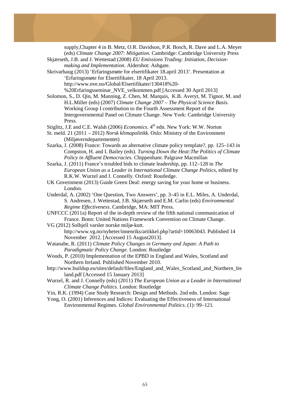supply,Chapter 4 in B. Metz, O.R. Davidson, P.R. Bosch, R. Dave and L.A. Meyer (eds) *Climate Change 2007: Mitigation.* Cambridge: Cambridge University Press

- Skjærseth, J.B. and J. Wettestad (2008) *EU Emissions Trading: Initiation, Decisionmaking and Implementation*. Aldershot: Ashgate.
- Skrivarhaug (2013) 'Erfaringsmøte for elsertifikater 18.april 2013'. Presentation at 'Erfaringsmøte for Elsertifikater, 18 April 2013. http://www.nve.no/Global/Elsertifikater/130418%20-

%20Erfaringsseminar\_NVE\_velkommen.pdf [Accessed 30 April 2013]

Solomon, S., D. Qin, M. Manning, Z. Chen, M. Marquis, K.B. Averyt, M. Tignor, M. and H.L.Miller (eds) (2007) *Climate Change 2007* – *The Physical Science Basis.*  Working Group I contribution to the Fourth Assessment Report of the Intergovernmental Panel on Climate Change. New York: Cambridge University Press.

Stiglitz, J.E and C.E. Walsh (2006) *Economics*. 4<sup>th</sup> edn. New York: W.W. Norton

- St. meld. 21 (2011 2012) *Norsk klimapolitikk.* Oslo: Ministry of the Environment (Miljøverndepartementet)
- Szarka, J. (2008) France: Towards an alternative climate policy template?, pp. 125–143 in Compston, H. and I. Bailey (eds). *Turning Down the Heat:The Politics of Climate Policy in Affluent Democracies.* Chippenham: Palgrave Macmillan
- Szarka, J. (2011) France's troubled bids to climate leadership, pp. 112–128 in *The European Union as a Leader in International Climate Change Politics*, edited by R.K.W. Wurzel and J. Connelly. Oxford: Routledge.
- UK Government (2013) Guide Green Deal: energy saving for your home or business. London.
- Underdal, A. (2002) 'One Question, Two Answers', pp. 3–45 in E.L. Miles, A. Underdal, S. Andresen, J. Wettestad, J.B. Skjærseth and E.M. Carlin (eds) *Environmental Regime Effectiveness*. Cambridge, MA: MIT Press.
- UNFCCC (2011a) Report of the in-depth review of the fifth national communication of France. Bonn: United Nations Framework Convention on Climate Change.
- VG (2012) Solhjell varsler norske miljø-kutt. http://www.vg.no/nyheter/innenriks/artikkel.php?artid=10063043. Published 14 November 2012. [Accessed 15 August2013].
- Watanabe, R. (2011) *Climate Policy Changes in Germany and Japan: A Path to Paradigmatic Policy Change.* London: Routledge
- Woods, P. (2010) Implementation of the EPBD in England and Wales, Scotland and Northern Ireland. Published November 2010.
- http://www.buildup.eu/sites/default/files/England\_and\_Wales\_Scotland\_and\_Northern\_Ire land.pdf [Accessed 15 January 2013]
- Wurzel, R. and J. Connelly (eds) (2011) *The European Union as a Leader in International Climate Change Politics.* London: Routledge
- Yin, R.K. (1994) Case Study Research: Design and Methods. 2nd edn. London: Sage
- Yong, O. (2001) Inferences and Indices: Evaluating the Effectiveness of International Environmental Regimes. *Global Environmental Politics*. (1): 99–121.